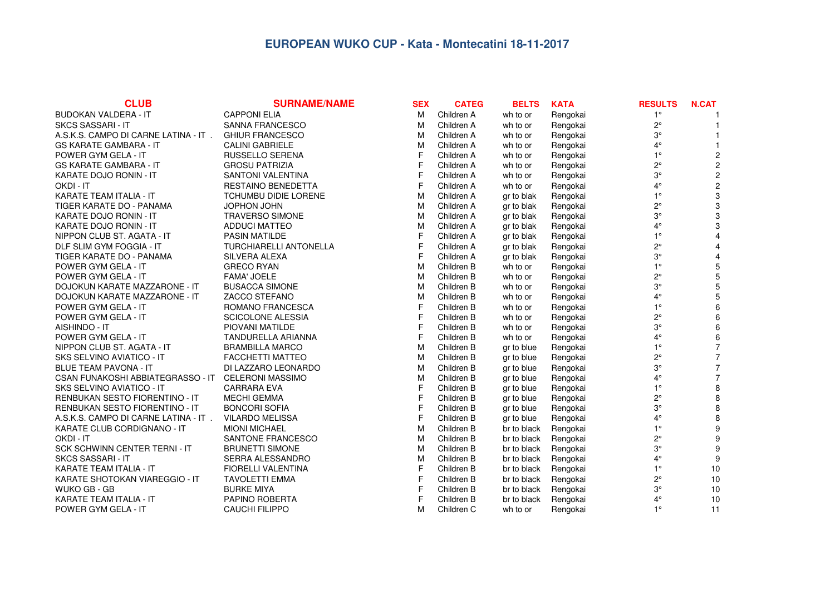| <b>CLUB</b>                              | <b>SURNAME/NAME</b>            | <b>SEX</b> | $\overline{\mathbf{C}}$ |
|------------------------------------------|--------------------------------|------------|-------------------------|
| RA - IT                                  | <b>CAPPONI ELIA</b>            | м          | Childr                  |
| T.                                       | SANNA FRANCESCO                | м          | Childr                  |
| I CARNE LATINA - IT . GHIUR FRANCESCO    |                                | M          | Childr                  |
| 3ARA - IT                                | <b>CALINI GABRIELE</b>         | М          | Childr                  |
| $A - I$                                  | RUSSELLO SERENA                | F          | Childr                  |
| 3ARA - IT                                | <b>GROSU PATRIZIA</b>          | F          | Childr                  |
| JNIN - IT                                | SANTONI VALENTINA              | F          | Childr                  |
|                                          | RESTAINO BENEDETTA             | F          | Childr                  |
| ALIA - IT                                | JOPHON IOLIN'<br>JOPHON IOLIN' | м          | Childr                  |
| O - PANAMA                               | JOPHON JOHN                    | M          | Childr                  |
| )NIN - IT                                | TRAVERSO SIMONE                | м          | Childr                  |
| JNIN - IT                                | <b>ADDUCI MATTEO</b>           | M          | Childr                  |
| AGATA - IT                               | <b>PASIN MATILDE</b>           | F          | Childr                  |
| <b>GGIA - IT</b>                         | TURCHIARELLI ANTONELLA         | F          | Childr                  |
| O - PANAMA                               | SILVERA ALEXA                  | F          | Childr                  |
| A - IT                                   | <b>GRECO RYAN</b>              | М          | Childr                  |
| A - IT                                   | FAMA' JOELE                    | M          | Childr                  |
| E MAZZARONE - IT                         | <b>BUSACCA SIMONE</b>          | М          | Childr                  |
| E MAZZARONE - IT                         | ZACCO STEFANO                  | М          | Childr                  |
| A - IT                                   | ROMANO FRANCESCA               | F          | Childr                  |
| $A - I$                                  | <b>SCICOLONE ALESSIA</b>       | F          | Childr                  |
|                                          | PIOVANI MATILDE                | F          | Childr                  |
| A - IT                                   | TANDURELLA ARIANNA             | F          | Childr                  |
| AGATA - IT                               | <b>BRAMBILLA MARCO</b>         | м          | Childr                  |
| ATICO - IT                               | <b>FACCHETTI MATTEO</b>        | м          | Childr                  |
| JNA - IT                                 | DI LAZZARO LEONARDO            | м          | Childr                  |
| I ABBIATEGRASSO - IT CELERONI MASSIMO    |                                | M          | Childr                  |
| ATICO - IT                               | <b>CARRARA EVA</b>             | F          | Childr                  |
| O FIORENTINO - IT                        | <b>MECHI GEMMA</b>             | F          | Childr                  |
| O FIORENTINO - IT                        | <b>BONCORI SOFIA</b>           | F          | Childr                  |
| I CARNE LATINA - IT .    VILARDO MELISSA |                                | F          | Childr                  |
| RDIGNANO - IT                            | <b>MIONI MICHAEL</b>           | M          | Childr                  |
|                                          | SANTONE FRANCESCO              | м          | Childr                  |
| ENTER TERNI - IT                         | <b>BRUNETTI SIMONE</b>         | м          | Childr                  |
| T.                                       | SERRA ALESSANDRO               | М          | Childr                  |
| ALIA - IT                                | <b>FIORELLI VALENTINA</b>      | F          | Childr                  |
| AN VIAREGGIO - IT                        | <b>TAVOLETTI EMMA</b>          | F          | Childr                  |
|                                          | <b>BURKE MIYA</b>              | F          | Childr                  |
| ALIA - IT                                | PAPINO ROBERTA                 | F          | Childr                  |
|                                          |                                |            |                         |

| <b>CLUB</b>                                        | <b>SURNAME/NAME</b>         | <b>SEX</b> | <b>CATEG</b> | <b>BELTS</b> | <b>KATA</b> | <b>RESULTS</b> | <b>N.CAT</b> |
|----------------------------------------------------|-----------------------------|------------|--------------|--------------|-------------|----------------|--------------|
| <b>BUDOKAN VALDERA - IT</b>                        | <b>CAPPONI ELIA</b>         | м          | Children A   | wh to or     | Rengokai    | $1^{\circ}$    |              |
| <b>SKCS SASSARI - IT</b>                           | SANNA FRANCESCO             | М          | Children A   | wh to or     | Rengokai    | $2^{\circ}$    |              |
| A.S.K.S. CAMPO DI CARNE LATINA - IT.               | <b>GHIUR FRANCESCO</b>      | м          | Children A   | wh to or     | Rengokai    | 3°             |              |
| <b>GS KARATE GAMBARA - IT</b>                      | <b>CALINI GABRIELE</b>      | М          | Children A   | wh to or     | Rengokai    | $4^\circ$      |              |
| <b>POWER GYM GELA - IT</b>                         | RUSSELLO SERENA             | F          | Children A   | wh to or     | Rengokai    | $1^{\circ}$    |              |
| <b>GS KARATE GAMBARA - IT</b>                      | <b>GROSU PATRIZIA</b>       | F          | Children A   | wh to or     | Rengokai    | $2^{\circ}$    |              |
| KARATE DOJO RONIN - IT                             | SANTONI VALENTINA           |            | Children A   | wh to or     | Rengokai    | $3^{\circ}$    |              |
| OKDI - IT                                          | <b>RESTAINO BENEDETTA</b>   | F          | Children A   | wh to or     | Rengokai    | $4^\circ$      |              |
| KARATE TEAM ITALIA - IT                            | <b>TCHUMBU DIDIE LORENE</b> | М          | Children A   | gr to blak   | Rengokai    | $1^{\circ}$    | 3            |
| TIGER KARATE DO - PANAMA                           | <b>JOPHON JOHN</b>          | М          | Children A   | gr to blak   | Rengokai    | $2^{\circ}$    |              |
| KARATE DOJO RONIN - IT                             | <b>TRAVERSO SIMONE</b>      | М          | Children A   | gr to blak   | Rengokai    | $3^\circ$      |              |
| KARATE DOJO RONIN - IT                             | <b>ADDUCI MATTEO</b>        | М          | Children A   | gr to blak   | Rengokai    | $4^{\circ}$    | 3            |
| NIPPON CLUB ST. AGATA - IT                         | PASIN MATILDE               | F          | Children A   | gr to blak   | Rengokai    | $1^{\circ}$    |              |
| DLF SLIM GYM FOGGIA - IT                           | TURCHIARELLI ANTONELLA      |            | Children A   | gr to blak   | Rengokai    | $2^{\circ}$    |              |
| TIGER KARATE DO - PANAMA                           | SILVERA ALEXA               | F          | Children A   | gr to blak   | Rengokai    | 3°             |              |
| POWER GYM GELA - IT                                | <b>GRECO RYAN</b>           | M          | Children B   | wh to or     | Rengokai    | $1^{\circ}$    |              |
| POWER GYM GELA - IT                                | <b>FAMA' JOELE</b>          | M          | Children B   | wh to or     | Rengokai    | $2^{\circ}$    |              |
| DOJOKUN KARATE MAZZARONE - IT                      | <b>BUSACCA SIMONE</b>       | M          | Children B   | wh to or     | Rengokai    | $3^\circ$      |              |
| DOJOKUN KARATE MAZZARONE - IT                      | <b>ZACCO STEFANO</b>        | М          | Children B   | wh to or     | Rengokai    | $4^\circ$      |              |
| POWER GYM GELA - IT                                | ROMANO FRANCESCA            |            | Children B   | wh to or     | Rengokai    | $1^{\circ}$    |              |
| POWER GYM GELA - IT                                | <b>SCICOLONE ALESSIA</b>    |            | Children B   | wh to or     | Rengokai    | $2^{\circ}$    |              |
| AISHINDO - IT                                      | <b>PIOVANI MATILDE</b>      | F          | Children B   | wh to or     | Rengokai    | $3^\circ$      |              |
| POWER GYM GELA - IT                                | TANDURELLA ARIANNA          | F          | Children B   | wh to or     | Rengokai    | $4^{\circ}$    |              |
| NIPPON CLUB ST. AGATA - IT                         | <b>BRAMBILLA MARCO</b>      | М          | Children B   | gr to blue   | Rengokai    | $1^{\circ}$    |              |
| SKS SELVINO AVIATICO - IT                          | <b>FACCHETTI MATTEO</b>     | М          | Children B   | gr to blue   | Rengokai    | $2^{\circ}$    |              |
| <b>BLUE TEAM PAVONA - IT</b>                       | DI LAZZARO LEONARDO         | м          | Children B   | gr to blue   | Rengokai    | $3^{\circ}$    |              |
| CSAN FUNAKOSHI ABBIATEGRASSO - IT CELERONI MASSIMO |                             | М          | Children B   | gr to blue   | Rengokai    | $4^{\circ}$    |              |
| SKS SELVINO AVIATICO - IT                          | <b>CARRARA EVA</b>          |            | Children B   | gr to blue   | Rengokai    | $1^{\circ}$    |              |
| RENBUKAN SESTO FIORENTINO - IT                     | <b>MECHI GEMMA</b>          |            | Children B   | ar to blue   | Rengokai    | $2^{\circ}$    |              |
| RENBUKAN SESTO FIORENTINO - IT                     | <b>BONCORI SOFIA</b>        |            | Children B   | gr to blue   | Rengokai    | $3^{\circ}$    | 8            |
| A.S.K.S. CAMPO DI CARNE LATINA - IT.               | <b>VILARDO MELISSA</b>      | F          | Children B   | gr to blue   | Rengokai    | $4^{\circ}$    |              |
| KARATE CLUB CORDIGNANO - IT                        | <b>MIONI MICHAEL</b>        | M          | Children B   | br to black  | Rengokai    | $1^{\circ}$    |              |
| OKDI - IT                                          | SANTONE FRANCESCO           | М          | Children B   | br to black  | Rengokai    | $2^{\circ}$    | 9            |
| <b>SCK SCHWINN CENTER TERNI - IT</b>               | <b>BRUNETTI SIMONE</b>      | м          | Children B   | br to black  | Rengokai    | $3^\circ$      |              |
| SKCS SASSARI - IT                                  | SERRA ALESSANDRO            | М          | Children B   | br to black  | Rengokai    | $4^{\circ}$    | $\mathbf{Q}$ |
| KARATE TEAM ITALIA - IT                            | <b>FIORELLI VALENTINA</b>   | F          | Children B   | br to black  | Rengokai    | $1^{\circ}$    | 10           |
| KARATE SHOTOKAN VIAREGGIO - IT                     | <b>TAVOLETTI EMMA</b>       |            | Children B   | br to black  | Rengokai    | $2^{\circ}$    | 10           |
| WUKO GB - GB                                       | <b>BURKE MIYA</b>           | F          | Children B   | br to black  | Rengokai    | $3^\circ$      | 10           |
| KARATE TEAM ITALIA - IT                            | PAPINO ROBERTA              | F          | Children B   | br to black  | Rengokai    | $4^{\circ}$    | 10           |
| POWER GYM GELA - IT                                | <b>CAUCHI FILIPPO</b>       | М          | Children C   | wh to or     | Rengokai    | $1^{\circ}$    | 11           |
|                                                    |                             |            |              |              |             |                |              |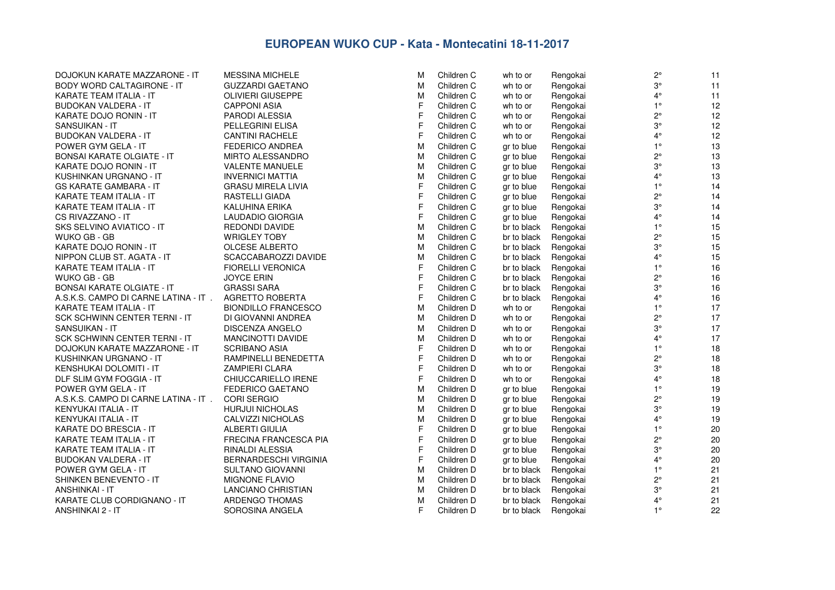| DOJOKUN KARATE MAZZARONE - IT        | <b>MESSINA MICHELE</b>     | м | Children C | wh to or    | Rengokai | $2^{\circ}$ | 11 |
|--------------------------------------|----------------------------|---|------------|-------------|----------|-------------|----|
| BODY WORD CALTAGIRONE - IT           | <b>GUZZARDI GAETANO</b>    | м | Children C | wh to or    | Rengokai | $3^{\circ}$ | 11 |
| KARATE TEAM ITALIA - IT              | <b>OLIVIERI GIUSEPPE</b>   | M | Children C | wh to or    | Rengokai | $4^{\circ}$ | 11 |
| <b>BUDOKAN VALDERA - IT</b>          | <b>CAPPONI ASIA</b>        | F | Children C | wh to or    | Rengokai | $1^{\circ}$ | 12 |
| KARATE DOJO RONIN - IT               | PARODI ALESSIA             | F | Children C | wh to or    | Rengokai | $2^{\circ}$ | 12 |
| SANSUIKAN - IT                       | PELLEGRINI ELISA           | F | Children C | wh to or    | Rengokai | $3^\circ$   | 12 |
| <b>BUDOKAN VALDERA - IT</b>          | <b>CANTINI RACHELE</b>     | F | Children C | wh to or    | Rengokai | $4^{\circ}$ | 12 |
| POWER GYM GELA - IT                  | <b>FEDERICO ANDREA</b>     | м | Children C | gr to blue  | Rengokai | $1^{\circ}$ | 13 |
| <b>BONSAI KARATE OLGIATE - IT</b>    | MIRTO ALESSANDRO           | м | Children C | gr to blue  | Rengokai | $2^{\circ}$ | 13 |
| KARATE DOJO RONIN - IT               | <b>VALENTE MANUELE</b>     | м | Children C | gr to blue  | Rengokai | $3^{\circ}$ | 13 |
| KUSHINKAN URGNANO - IT               | <b>INVERNICI MATTIA</b>    | M | Children C | gr to blue  | Rengokai | $4^{\circ}$ | 13 |
| <b>GS KARATE GAMBARA - IT</b>        | <b>GRASU MIRELA LIVIA</b>  | F | Children C | gr to blue  | Rengokai | $1^{\circ}$ | 14 |
| KARATE TEAM ITALIA - IT              | RASTELLI GIADA             | F | Children C | gr to blue  | Rengokai | $2^{\circ}$ | 14 |
| KARATE TEAM ITALIA - IT              | <b>KALUHINA ERIKA</b>      | F | Children C | gr to blue  | Rengokai | $3^{\circ}$ | 14 |
| CS RIVAZZANO - IT                    | LAUDADIO GIORGIA           | F | Children C | ar to blue  | Rengokai | $4^\circ$   | 14 |
| <b>SKS SELVINO AVIATICO - IT</b>     | REDONDI DAVIDE             | M | Children C | br to black | Rengokai | $1^{\circ}$ | 15 |
| WUKO GB - GB                         | <b>WRIGLEY TOBY</b>        | M | Children C | br to black | Rengokai | $2^{\circ}$ | 15 |
| KARATE DOJO RONIN - IT               | <b>OLCESE ALBERTO</b>      | M | Children C | br to black | Rengokai | $3^{\circ}$ | 15 |
| NIPPON CLUB ST. AGATA - IT           | SCACCABAROZZI DAVIDE       | м | Children C | br to black | Rengokai | $4^\circ$   | 15 |
| KARATE TEAM ITALIA - IT              | <b>FIORELLI VERONICA</b>   | F | Children C | br to black | Rengokai | $1^{\circ}$ | 16 |
| WUKO GB - GB                         | <b>JOYCE ERIN</b>          | F | Children C | br to black | Rengokai | $2^{\circ}$ | 16 |
| <b>BONSAI KARATE OLGIATE - IT</b>    | <b>GRASSI SARA</b>         | F | Children C | br to black | Rengokai | $3^\circ$   | 16 |
| A.S.K.S. CAMPO DI CARNE LATINA - IT. | <b>AGRETTO ROBERTA</b>     | F | Children C | br to black | Rengokai | $4^\circ$   | 16 |
| KARATE TEAM ITALIA - IT              | <b>BIONDILLO FRANCESCO</b> | M | Children D | wh to or    | Rengokai | $1^{\circ}$ | 17 |
| SCK SCHWINN CENTER TERNI - IT        | DI GIOVANNI ANDREA         | м | Children D | wh to or    | Rengokai | $2^{\circ}$ | 17 |
| SANSUIKAN - IT                       | DISCENZA ANGELO            | M | Children D | wh to or    | Rengokai | $3^\circ$   | 17 |
| SCK SCHWINN CENTER TERNI - IT        | MANCINOTTI DAVIDE          | M | Children D | wh to or    | Rengokai | $4^{\circ}$ | 17 |
| DOJOKUN KARATE MAZZARONE - IT        | <b>SCRIBANO ASIA</b>       | F | Children D | wh to or    | Rengokai | $1^{\circ}$ | 18 |
| KUSHINKAN URGNANO - IT               | RAMPINELLI BENEDETTA       |   | Children D | wh to or    | Rengokai | $2^{\circ}$ | 18 |
| KENSHUKAI DOLOMITI - IT              | <b>ZAMPIERI CLARA</b>      | F | Children D | wh to or    | Rengokai | $3^{\circ}$ | 18 |
| DLF SLIM GYM FOGGIA - IT             | CHIUCCARIELLO IRENE        | F | Children D | wh to or    | Rengokai | $4^\circ$   | 18 |
| POWER GYM GELA - IT                  | <b>FEDERICO GAETANO</b>    | M | Children D | gr to blue  | Rengokai | $1^{\circ}$ | 19 |
| A.S.K.S. CAMPO DI CARNE LATINA - IT. | <b>CORI SERGIO</b>         | м | Children D | gr to blue  | Rengokai | $2^{\circ}$ | 19 |
| KENYUKAI ITALIA - IT                 | <b>HURJUI NICHOLAS</b>     | M | Children D | ar to blue  | Rengokai | $3^\circ$   | 19 |
| KENYUKAI ITALIA - IT                 | CALVIZZI NICHOLAS          | M | Children D | gr to blue  | Rengokai | 4°          | 19 |
| KARATE DO BRESCIA - IT               | <b>ALBERTI GIULIA</b>      | F | Children D | gr to blue  | Rengokai | $1^{\circ}$ | 20 |
| KARATE TEAM ITALIA - IT              | FRECINA FRANCESCA PIA      | F | Children D | gr to blue  | Rengokai | $2^{\circ}$ | 20 |
| KARATE TEAM ITALIA - IT              | RINALDI ALESSIA            | F | Children D | gr to blue  | Rengokai | $3^\circ$   | 20 |
| BUDOKAN VALDERA - IT                 | BERNARDESCHI VIRGINIA      | F | Children D | gr to blue  | Rengokai | $4^\circ$   | 20 |
| POWER GYM GELA - IT                  | <b>SULTANO GIOVANNI</b>    | M | Children D | br to black | Rengokai | $1^{\circ}$ | 21 |
| SHINKEN BENEVENTO - IT               | MIGNONE FLAVIO             | M | Children D | br to black | Rengokai | $2^{\circ}$ | 21 |
| ANSHINKAI - IT                       | LANCIANO CHRISTIAN         | M | Children D | br to black | Rengokai | $3^{\circ}$ | 21 |
| KARATE CLUB CORDIGNANO - IT          | ARDENGO THOMAS             | M | Children D | br to black | Rengokai | $4^\circ$   | 21 |
| ANSHINKAI 2 - IT                     | SOROSINA ANGELA            | F | Children D | br to black | Rengokai | $1^{\circ}$ | 22 |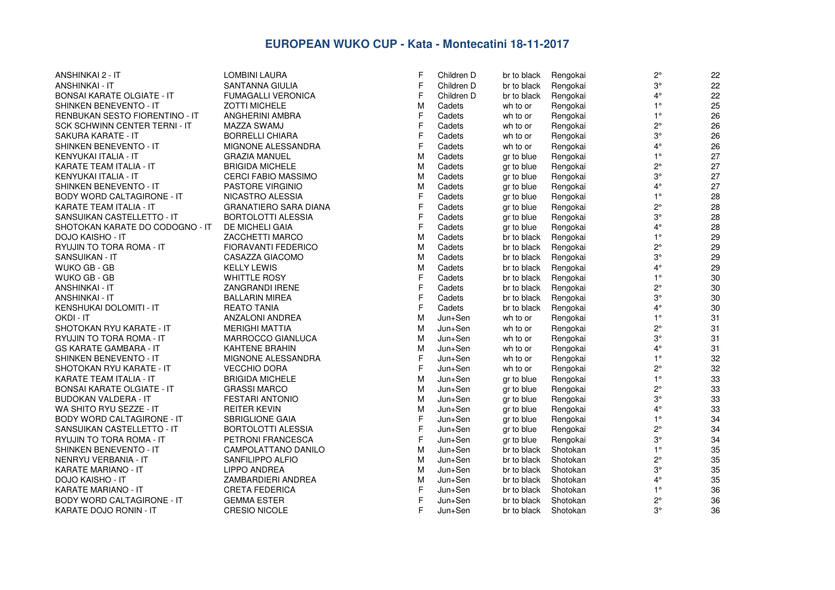| ANSHINKAI 2 - IT                  | <b>LOMBINI LAURA</b>         | F | Children D | br to black | Rengokai | $2^{\circ}$ | 22 |
|-----------------------------------|------------------------------|---|------------|-------------|----------|-------------|----|
| ANSHINKAI - IT                    | SANTANNA GIULIA              | F | Children D | br to black | Rengokai | 3°          | 22 |
| <b>BONSAI KARATE OLGIATE - IT</b> | <b>FUMAGALLI VERONICA</b>    | F | Children D | br to black | Rengokai | $4^{\circ}$ | 22 |
| <b>SHINKEN BENEVENTO - IT</b>     | <b>ZOTTI MICHELE</b>         | M | Cadets     | wh to or    | Rengokai | $1^{\circ}$ | 25 |
| RENBUKAN SESTO FIORENTINO - IT    | ANGHERINI AMBRA              | F | Cadets     | wh to or    | Rengokai | $1^{\circ}$ | 26 |
| SCK SCHWINN CENTER TERNI - IT     | MAZZA SWAMJ                  | F | Cadets     | wh to or    | Rengokai | $2^{\circ}$ | 26 |
| SAKURA KARATE - IT                | <b>BORRELLI CHIARA</b>       | F | Cadets     | wh to or    | Rengokai | $3^{\circ}$ | 26 |
| SHINKEN BENEVENTO - IT            | MIGNONE ALESSANDRA           | F | Cadets     | wh to or    | Rengokai | 4°          | 26 |
| KENYUKAI ITALIA - IT              | <b>GRAZIA MANUEL</b>         | M | Cadets     | gr to blue  | Rengokai | $1^{\circ}$ | 27 |
| KARATE TEAM ITALIA - IT           | <b>BRIGIDA MICHELE</b>       | м | Cadets     | gr to blue  | Rengokai | 2°          | 27 |
| KENYUKAI ITALIA - IT              | <b>CERCI FABIO MASSIMO</b>   | м | Cadets     | gr to blue  | Rengokai | $3^\circ$   | 27 |
| SHINKEN BENEVENTO - IT            | PASTORE VIRGINIO             | M | Cadets     | gr to blue  | Rengokai | $4^{\circ}$ | 27 |
| BODY WORD CALTAGIRONE - IT        | NICASTRO ALESSIA             | F | Cadets     | gr to blue  | Rengokai | $1^{\circ}$ | 28 |
| KARATE TEAM ITALIA - IT           | <b>GRANATIERO SARA DIANA</b> | F | Cadets     | gr to blue  | Rengokai | $2^{\circ}$ | 28 |
| SANSUIKAN CASTELLETTO - IT        | <b>BORTOLOTTI ALESSIA</b>    | F | Cadets     | gr to blue  | Rengokai | $3^\circ$   | 28 |
| SHOTOKAN KARATE DO CODOGNO - IT   | DE MICHELI GAIA              | F | Cadets     | gr to blue  | Rengokai | $4^{\circ}$ | 28 |
| <b>DOJO KAISHO - IT</b>           | <b>ZACCHETTI MARCO</b>       | M | Cadets     | br to black | Rengokai | $1^{\circ}$ | 29 |
| RYUJIN TO TORA ROMA - IT          | <b>FIORAVANTI FEDERICO</b>   | M | Cadets     | br to black | Rengokai | 20          | 29 |
| SANSUIKAN - IT                    | CASAZZA GIACOMO              | M | Cadets     | br to black | Rengokai | $3^\circ$   | 29 |
| WUKO GB - GB                      | <b>KELLY LEWIS</b>           | M | Cadets     | br to black | Rengokai | $4^\circ$   | 29 |
| WUKO GB - GB                      | <b>WHITTLE ROSY</b>          | F | Cadets     | br to black | Rengokai | $1^{\circ}$ | 30 |
| ANSHINKAI - IT                    | ZANGRANDI IRENE              | F | Cadets     | br to black | Rengokai | $2^{\circ}$ | 30 |
| ANSHINKAI - IT                    | <b>BALLARIN MIREA</b>        | F | Cadets     | br to black | Rengokai | 3°          | 30 |
| KENSHUKAI DOLOMITI - IT           | <b>REATO TANIA</b>           | F | Cadets     | br to black | Rengokai | $4^{\circ}$ | 30 |
| OKDI - IT                         | ANZALONI ANDREA              | M | Jun+Sen    | wh to or    | Rengokai | $1^{\circ}$ | 31 |
| SHOTOKAN RYU KARATE - IT          | <b>MERIGHI MATTIA</b>        | M | Jun+Sen    | wh to or    | Rengokai | $2^{\circ}$ | 31 |
| RYUJIN TO TORA ROMA - IT          | MARROCCO GIANLUCA            | M | Jun+Sen    | wh to or    | Rengokai | 3°          | 31 |
| <b>GS KARATE GAMBARA - IT</b>     | <b>KAHTENE BRAHIN</b>        | M | Jun+Sen    | wh to or    | Rengokai | $4^{\circ}$ | 31 |
| SHINKEN BENEVENTO - IT            | MIGNONE ALESSANDRA           | F | Jun+Sen    | wh to or    | Rengokai | $1^{\circ}$ | 32 |
| SHOTOKAN RYU KARATE - IT          | <b>VECCHIO DORA</b>          | F | Jun+Sen    | wh to or    | Rengokai | $2^{\circ}$ | 32 |
| KARATE TEAM ITALIA - IT           | <b>BRIGIDA MICHELE</b>       | M | Jun+Sen    | gr to blue  | Rengokai | $1^{\circ}$ | 33 |
| <b>BONSAI KARATE OLGIATE - IT</b> | <b>GRASSI MARCO</b>          | M | Jun+Sen    | gr to blue  | Rengokai | $2^{\circ}$ | 33 |
| <b>BUDOKAN VALDERA - IT</b>       | <b>FESTARI ANTONIO</b>       | M | Jun+Sen    | gr to blue  | Rengokai | $3^\circ$   | 33 |
| WA SHITO RYU SEZZE - IT           | <b>REITER KEVIN</b>          | M | Jun+Sen    | gr to blue  | Rengokai | $4^{\circ}$ | 33 |
| BODY WORD CALTAGIRONE - IT        | <b>SBRIGLIONE GAIA</b>       | F | Jun+Sen    | gr to blue  | Rengokai | $1^{\circ}$ | 34 |
| SANSUIKAN CASTELLETTO - IT        | <b>BORTOLOTTI ALESSIA</b>    | F | Jun+Sen    | gr to blue  | Rengokai | 2°          | 34 |
| RYUJIN TO TORA ROMA - IT          | PETRONI FRANCESCA            | F | Jun+Sen    | gr to blue  | Rengokai | 3°          | 34 |
| SHINKEN BENEVENTO - IT            | CAMPOLATTANO DANILO          | м | Jun+Sen    | br to black | Shotokan | $1^{\circ}$ | 35 |
| NENRYU VERBANIA - IT              | SANFILIPPO ALFIO             | M | Jun+Sen    | br to black | Shotokan | 2°          | 35 |
| KARATE MARIANO - IT               | <b>LIPPO ANDREA</b>          | M | Jun+Sen    | br to black | Shotokan | 3°          | 35 |
| <b>DOJO KAISHO - IT</b>           | ZAMBARDIERI ANDREA           | м | Jun+Sen    | br to black | Shotokan | $4^{\circ}$ | 35 |
| KARATE MARIANO - IT               | <b>CRETA FEDERICA</b>        | F | Jun+Sen    | br to black | Shotokan | $1^{\circ}$ | 36 |
| BODY WORD CALTAGIRONE - IT        | <b>GEMMA ESTER</b>           | F | Jun+Sen    | br to black | Shotokan | $2^{\circ}$ | 36 |
| KARATE DOJO RONIN - IT            | <b>CRESIO NICOLE</b>         | E | Jun+Sen    | br to black | Shotokan | $3^\circ$   | 36 |
|                                   |                              |   |            |             |          |             |    |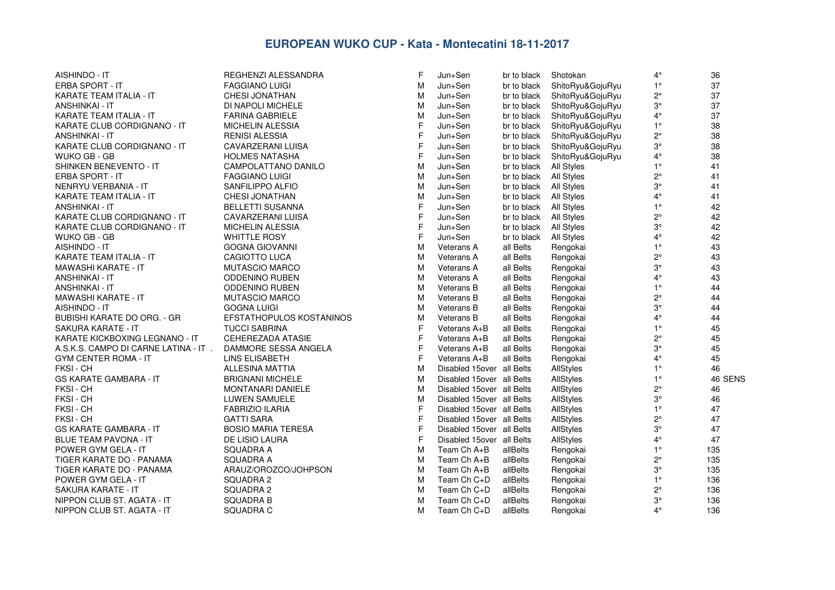| AISHINDO - IT                         | REGHENZI ALESSANDRA       | F            | Jun+Sen                    | br to black | Shotokan          | $4^{\circ}$ | 36      |
|---------------------------------------|---------------------------|--------------|----------------------------|-------------|-------------------|-------------|---------|
| ERBA SPORT - IT                       | <b>FAGGIANO LUIGI</b>     | M            | Jun+Sen                    | br to black | ShitoRyu&GojuRyu  | $1^{\circ}$ | 37      |
| KARATE TEAM ITALIA - IT               | <b>CHESI JONATHAN</b>     | M            | Jun+Sen                    | br to black | ShitoRyu&GojuRyu  | $2^{\circ}$ | 37      |
| ANSHINKAI - IT                        | DI NAPOLI MICHELE         | M            | Jun+Sen                    | br to black | ShitoRyu&GojuRyu  | $3^{\circ}$ | 37      |
| KARATE TEAM ITALIA - IT               | <b>FARINA GABRIELE</b>    | M            | Jun+Sen                    | br to black | ShitoRyu&GojuRyu  | $4^\circ$   | 37      |
| KARATE CLUB CORDIGNANO - IT           | <b>MICHELIN ALESSIA</b>   | F            | Jun+Sen                    | br to black | ShitoRyu&GojuRyu  | $1^{\circ}$ | 38      |
| ANSHINKAI - IT                        | <b>RENISI ALESSIA</b>     | $\mathsf F$  | Jun+Sen                    | br to black | ShitoRyu&GojuRyu  | $2^{\circ}$ | 38      |
| KARATE CLUB CORDIGNANO - IT           | CAVARZERANI LUISA         | F            | Jun+Sen                    | br to black | ShitoRyu&GojuRyu  | $3^{\circ}$ | 38      |
| WUKO GB - GB                          | <b>HOLMES NATASHA</b>     | $\mathsf{F}$ | Jun+Sen                    | br to black | ShitoRyu&GojuRyu  | $4^{\circ}$ | 38      |
| SHINKEN BENEVENTO - IT                | CAMPOLATTANO DANILO       | M            | Jun+Sen                    | br to black | All Styles        | $1^{\circ}$ | 41      |
| ERBA SPORT - IT                       | <b>FAGGIANO LUIGI</b>     | M            | Jun+Sen                    | br to black | <b>All Styles</b> | $2^{\circ}$ | 41      |
| NENRYU VERBANIA - IT                  | SANFILIPPO ALFIO          | M            | Jun+Sen                    | br to black | <b>All Styles</b> | $3^{\circ}$ | 41      |
| KARATE TEAM ITALIA - IT               | CHESI JONATHAN            | M            | Jun+Sen                    | br to black | <b>All Styles</b> | $4^{\circ}$ | 41      |
| ANSHINKAI - IT                        | <b>BELLETTI SUSANNA</b>   | F            | Jun+Sen                    | br to black | All Styles        | $1^{\circ}$ | 42      |
| KARATE CLUB CORDIGNANO - IT           | CAVARZERANI LUISA         | F            | Jun+Sen                    | br to black | All Styles        | $2^{\circ}$ | 42      |
| KARATE CLUB CORDIGNANO - IT           | <b>MICHELIN ALESSIA</b>   | $\mathsf F$  | Jun+Sen                    | br to black | All Styles        | $3^\circ$   | 42      |
| WUKO GB - GB                          | <b>WHITTLE ROSY</b>       | F            | Jun+Sen                    | br to black | All Styles        | $4^\circ$   | 42      |
| AISHINDO - IT                         | <b>GOGNA GIOVANNI</b>     | M            | Veterans A                 | all Belts   | Rengokai          | $1^{\circ}$ | 43      |
| KARATE TEAM ITALIA - IT               | CAGIOTTO LUCA             | M            | Veterans A                 | all Belts   | Rengokai          | $2^{\circ}$ | 43      |
| MAWASHI KARATE - IT                   | <b>MUTASCIO MARCO</b>     | M            | Veterans A                 | all Belts   | Rengokai          | $3^{\circ}$ | 43      |
| ANSHINKAI - IT                        | <b>ODDENINO RUBEN</b>     | м            | Veterans A                 | all Belts   | Rengokai          | $4^{\circ}$ | 43      |
| ANSHINKAI - IT                        | <b>ODDENINO RUBEN</b>     | M            | <b>Veterans B</b>          | all Belts   | Rengokai          | $1^{\circ}$ | 44      |
| MAWASHI KARATE - IT                   | <b>MUTASCIO MARCO</b>     | M            | <b>Veterans B</b>          | all Belts   | Rengokai          | $2^{\circ}$ | 44      |
| AISHINDO - IT                         | <b>GOGNA LUIGI</b>        | M            | <b>Veterans B</b>          | all Belts   | Rengokai          | $3^\circ$   | 44      |
| BUBISHI KARATE DO ORG. - GR           | EFSTATHOPULOS KOSTANINOS  | M            | <b>Veterans B</b>          | all Belts   | Rengokai          | $4^{\circ}$ | 44      |
| SAKURA KARATE - IT                    | <b>TUCCI SABRINA</b>      | $\mathsf F$  | Veterans A+B               | all Belts   | Rengokai          | $1^{\circ}$ | 45      |
| KARATE KICKBOXING LEGNANO - IT        | CEHEREZADA ATASIE         | F            | Veterans A+B               | all Belts   | Rengokai          | $2^{\circ}$ | 45      |
| A.S.K.S. CAMPO DI CARNE LATINA - IT . | DAMMORE SESSA ANGELA      | $\mathsf F$  | Veterans A+B               | all Belts   | Rengokai          | $3^\circ$   | 45      |
| <b>GYM CENTER ROMA - IT</b>           | <b>LINS ELISABETH</b>     | $\mathsf F$  | Veterans A+B               | all Belts   | Rengokai          | $4^\circ$   | 45      |
| FKSI - CH                             | <b>ALLESINA MATTIA</b>    | M            | Disabled 15over all Belts  |             | AllStyles         | $1^{\circ}$ | 46      |
| <b>GS KARATE GAMBARA - IT</b>         | <b>BRIGNANI MICHELE</b>   | M            | Disabled 15 over all Belts |             | AllStyles         | $1^{\circ}$ | 46 SENS |
| FKSI - CH                             | MONTANARI DANIELE         | M            | Disabled 15 over all Belts |             | AllStyles         | $2^{\circ}$ | 46      |
| FKSI - CH                             | LUWEN SAMUELE             | M            | Disabled 15 over all Belts |             | AllStyles         | $3^{\circ}$ | 46      |
| FKSI - CH                             | <b>FABRIZIO ILARIA</b>    | $\mathsf F$  | Disabled 15 over all Belts |             | AllStyles         | $1^{\circ}$ | 47      |
| FKSI - CH                             | <b>GATTI SARA</b>         | F            | Disabled 15 over all Belts |             | AllStyles         | $2^{\circ}$ | 47      |
| GS KARATE GAMBARA - IT                | <b>BOSIO MARIA TERESA</b> | $\mathsf F$  | Disabled 15over all Belts  |             | AllStyles         | $3^\circ$   | 47      |
| BLUE TEAM PAVONA - IT                 | DE LISIO LAURA            | F            | Disabled 15over all Belts  |             | AllStyles         | $4^{\circ}$ | 47      |
| POWER GYM GELA - IT                   | <b>SQUADRA A</b>          | M            | Team Ch A+B                | allBelts    | Rengokai          | $1^{\circ}$ | 135     |
| TIGER KARATE DO - PANAMA              | <b>SQUADRA A</b>          | M            | Team Ch A+B                | allBelts    | Rengokai          | $2^{\circ}$ | 135     |
| TIGER KARATE DO - PANAMA              | ARAUZ/OROZCO/JOHPSON      | M            | Team Ch A+B                | allBelts    | Rengokai          | $3^\circ$   | 135     |
| POWER GYM GELA - IT                   | SQUADRA 2                 | M            | Team Ch C+D                | allBelts    | Rengokai          | $1^{\circ}$ | 136     |
| SAKURA KARATE - IT                    | SQUADRA 2                 | M            | Team Ch C+D                | allBelts    | Rengokai          | $2^{\circ}$ | 136     |
| NIPPON CLUB ST. AGATA - IT            | <b>SQUADRA B</b>          | M            | Team Ch C+D                | allBelts    | Rengokai          | $3^\circ$   | 136     |
| NIPPON CLUB ST. AGATA - IT            | SQUADRA C                 | М            | Team Ch C+D                | allBelts    | Rengokai          | $4^\circ$   | 136     |
|                                       |                           |              |                            |             |                   |             |         |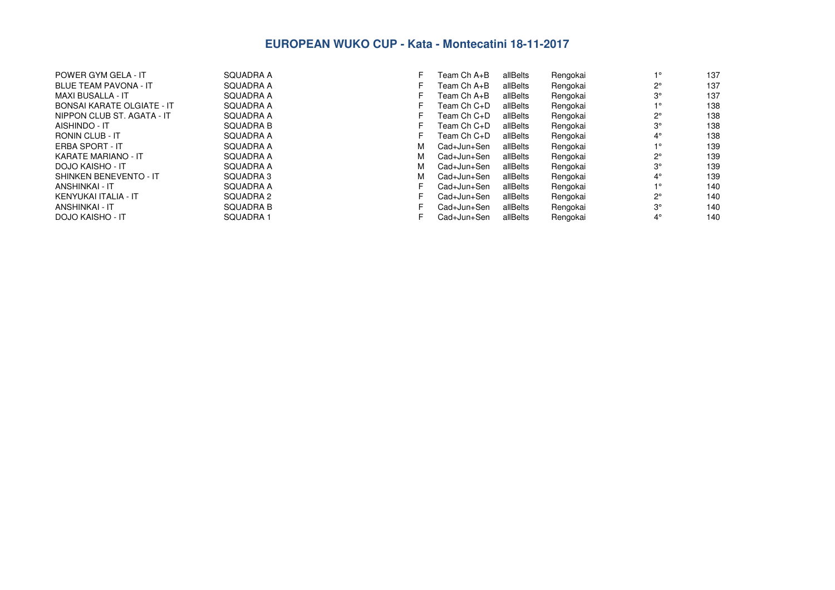| <b>POWER GYM GELA - IT</b>        | SQUADRA A |   | Team Ch A+B | allBelts | Rengokai | 10          | 137 |
|-----------------------------------|-----------|---|-------------|----------|----------|-------------|-----|
| <b>BLUE TEAM PAVONA - IT</b>      | SQUADRA A |   | Team Ch A+B | allBelts | Rengokai | $2^{\circ}$ | 137 |
| <b>MAXI BUSALLA - IT</b>          | SQUADRA A |   | Team Ch A+B | allBelts | Rengokai | $3^{\circ}$ | 137 |
| <b>BONSAI KARATE OLGIATE - IT</b> | SQUADRA A |   | Team Ch C+D | allBelts | Rengokai | 10          | 138 |
| NIPPON CLUB ST. AGATA - IT        | SQUADRA A |   | Team Ch C+D | allBelts | Rengokai | $2^{\circ}$ | 138 |
| AISHINDO - IT                     | SQUADRA B |   | Team Ch C+D | allBelts | Rengokai | $3^{\circ}$ | 138 |
| RONIN CLUB - IT                   | SOUADRA A |   | Team Ch C+D | allBelts | Rengokai | $4^{\circ}$ | 138 |
| <b>ERBA SPORT - IT</b>            | SQUADRA A | м | Cad+Jun+Sen | allBelts | Rengokai | 10          | 139 |
| KARATE MARIANO - IT               | SQUADRA A | м | Cad+Jun+Sen | allBelts | Rengokai | $2^{\circ}$ | 139 |
| DOJO KAISHO - IT                  | SOUADRA A | м | Cad+Jun+Sen | allBelts | Rengokai | 3°          | 139 |
| SHINKEN BENEVENTO - IT            | SQUADRA 3 | м | Cad+Jun+Sen | allBelts | Rengokai | $4^{\circ}$ | 139 |
| ANSHINKAI - IT                    | SOUADRA A |   | Cad+Jun+Sen | allBelts | Rengokai | 10          | 140 |
| KENYUKAI ITALIA - IT              | SQUADRA 2 |   | Cad+Jun+Sen | allBelts | Rengokai | $2^{\circ}$ | 140 |
| ANSHINKAI - IT                    | SOUADRA B |   | Cad+Jun+Sen | allBelts | Rengokai | $3^{\circ}$ | 140 |
| DOJO KAISHO - IT                  | SQUADRA 1 |   | Cad+Jun+Sen | allBelts | Rengokai | $4^{\circ}$ | 140 |
|                                   |           |   |             |          |          |             |     |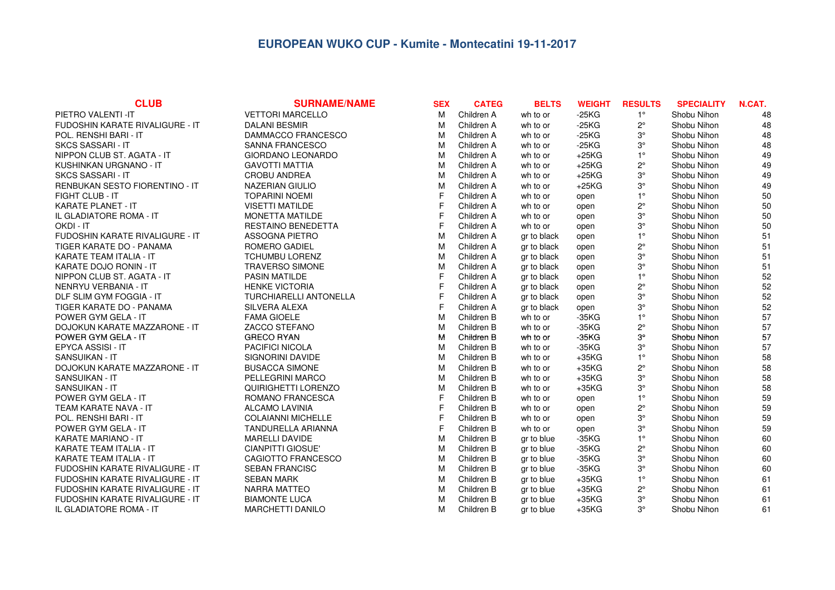| <b>CLUB</b>                     | <b>SURNAME/NAME</b>           | <b>SEX</b> | <b>CATEG</b> | <b>BELTS</b> | <b>WEIGHT</b> | <b>RESULTS</b> | <b>SPECIALITY</b> | N.CAT. |
|---------------------------------|-------------------------------|------------|--------------|--------------|---------------|----------------|-------------------|--------|
| PIETRO VALENTI - IT             | <b>VETTORI MARCELLO</b>       | м          | Children A   | wh to or     | $-25KG$       | $1^{\circ}$    | Shobu Nihon       | 48     |
| FUDOSHIN KARATE RIVALIGURE - IT | <b>DALANI BESMIR</b>          | M          | Children A   | wh to or     | $-25KG$       | $2^{\circ}$    | Shobu Nihon       | 48     |
| POL. RENSHI BARI - IT           | DAMMACCO FRANCESCO            | М          | Children A   | wh to or     | $-25KG$       | $3^\circ$      | Shobu Nihon       | 48     |
| <b>SKCS SASSARI - IT</b>        | <b>SANNA FRANCESCO</b>        | M          | Children A   | wh to or     | $-25KG$       | $3^{\circ}$    | Shobu Nihon       | 48     |
| NIPPON CLUB ST. AGATA - IT      | <b>GIORDANO LEONARDO</b>      | М          | Children A   | wh to or     | $+25KG$       | $1^{\circ}$    | Shobu Nihon       | 49     |
| KUSHINKAN URGNANO - IT          | <b>GAVOTTI MATTIA</b>         | М          | Children A   | wh to or     | $+25KG$       | $2^{\circ}$    | Shobu Nihon       | 49     |
| <b>SKCS SASSARI - IT</b>        | <b>CROBU ANDREA</b>           | М          | Children A   | wh to or     | $+25KG$       | $3^\circ$      | Shobu Nihon       | 49     |
| RENBUKAN SESTO FIORENTINO - IT  | <b>NAZERIAN GIULIO</b>        | M          | Children A   | wh to or     | $+25KG$       | $3^\circ$      | Shobu Nihon       | 49     |
| FIGHT CLUB - IT                 | <b>TOPARINI NOEMI</b>         | F          | Children A   | wh to or     | open          | $1^{\circ}$    | Shobu Nihon       | 50     |
| <b>KARATE PLANET - IT</b>       | <b>VISETTI MATILDE</b>        | F          | Children A   | wh to or     | open          | $2^{\circ}$    | Shobu Nihon       | 50     |
| IL GLADIATORE ROMA - IT         | MONETTA MATILDE               | F          | Children A   | wh to or     | open          | 3°             | Shobu Nihon       | 50     |
| OKDI - IT                       | RESTAINO BENEDETTA            | F          | Children A   | wh to or     | open          | 3°             | Shobu Nihon       | 50     |
| FUDOSHIN KARATE RIVALIGURE - IT | ASSOGNA PIETRO                | M          | Children A   | gr to black  | open          | $1^{\circ}$    | Shobu Nihon       | 51     |
| TIGER KARATE DO - PANAMA        | ROMERO GADIEL                 | M          | Children A   | gr to black  | open          | $2^{\circ}$    | Shobu Nihon       | 51     |
| KARATE TEAM ITALIA - IT         | <b>TCHUMBU LORENZ</b>         | М          | Children A   | gr to black  | open          | 3°             | Shobu Nihon       | 51     |
| KARATE DOJO RONIN - IT          | <b>TRAVERSO SIMONE</b>        | М          | Children A   | gr to black  | open          | 3°             | Shobu Nihon       | 51     |
| NIPPON CLUB ST. AGATA - IT      | <b>PASIN MATILDE</b>          | F          | Children A   | gr to black  | open          | $1^{\circ}$    | Shobu Nihon       | 52     |
| NENRYU VERBANIA - IT            | <b>HENKE VICTORIA</b>         | F          | Children A   | gr to black  | open          | $2^{\circ}$    | Shobu Nihon       | 52     |
| DLF SLIM GYM FOGGIA - IT        | <b>TURCHIARELLI ANTONELLA</b> | F          | Children A   | gr to black  | open          | 3°             | Shobu Nihon       | 52     |
| TIGER KARATE DO - PANAMA        | SILVERA ALEXA                 | F          | Children A   | gr to black  | open          | 3°             | Shobu Nihon       | 52     |
| POWER GYM GELA - IT             | <b>FAMA GIOELE</b>            | М          | Children B   | wh to or     | $-35KG$       | $1^{\circ}$    | Shobu Nihon       | 57     |
| DOJOKUN KARATE MAZZARONE - IT   | <b>ZACCO STEFANO</b>          | M          | Children B   | wh to or     | $-35KG$       | $2^{\circ}$    | Shobu Nihon       | 57     |
| POWER GYM GELA - IT             | <b>GRECO RYAN</b>             | M          | Children B   | wh to or     | $-35KG$       | $3^{\circ}$    | Shobu Nihon       | 57     |
| EPYCA ASSISI - IT               | <b>PACIFICI NICOLA</b>        | M          | Children B   | wh to or     | $-35KG$       | $3^\circ$      | Shobu Nihon       | 57     |
| SANSUIKAN - IT                  | SIGNORINI DAVIDE              | М          | Children B   | wh to or     | $+35KG$       | $1^{\circ}$    | Shobu Nihon       | 58     |
| DOJOKUN KARATE MAZZARONE - IT   | <b>BUSACCA SIMONE</b>         | М          | Children B   | wh to or     | $+35KG$       | $2^{\circ}$    | Shobu Nihon       | 58     |
| SANSUIKAN - IT                  | PELLEGRINI MARCO              | M          | Children B   | wh to or     | $+35KG$       | $3^\circ$      | Shobu Nihon       | 58     |
| <b>SANSUIKAN - IT</b>           | QUIRIGHETTI LORENZO           | M          | Children B   | wh to or     | $+35KG$       | $3^\circ$      | Shobu Nihon       | 58     |
| POWER GYM GELA - IT             | ROMANO FRANCESCA              | F          | Children B   | wh to or     | open          | $1^{\circ}$    | Shobu Nihon       | 59     |
| TEAM KARATE NAVA - IT           | <b>ALCAMO LAVINIA</b>         | F          | Children B   | wh to or     | open          | $2^{\circ}$    | Shobu Nihon       | 59     |
| POL. RENSHI BARI - IT           | <b>COLAIANNI MICHELLE</b>     | F          | Children B   | wh to or     | open          | $3^\circ$      | Shobu Nihon       | 59     |
| POWER GYM GELA - IT             | TANDURELLA ARIANNA            | F          | Children B   | wh to or     | open          | 3°             | Shobu Nihon       | 59     |
| KARATE MARIANO - IT             | <b>MARELLI DAVIDE</b>         | М          | Children B   | gr to blue   | $-35KG$       | $1^{\circ}$    | Shobu Nihon       | 60     |
| KARATE TEAM ITALIA - IT         | <b>CIANPITTI GIOSUE</b>       | M          | Children B   | gr to blue   | $-35KG$       | $2^{\circ}$    | Shobu Nihon       | 60     |
| KARATE TEAM ITALIA - IT         | CAGIOTTO FRANCESCO            | M          | Children B   | gr to blue   | $-35KG$       | $3^{\circ}$    | Shobu Nihon       | 60     |
| FUDOSHIN KARATE RIVALIGURE - IT | <b>SEBAN FRANCISC</b>         | M          | Children B   | gr to blue   | $-35KG$       | $3^\circ$      | Shobu Nihon       | 60     |
| FUDOSHIN KARATE RIVALIGURE - IT | <b>SEBAN MARK</b>             | M          | Children B   | gr to blue   | $+35KG$       | $1^{\circ}$    | Shobu Nihon       | 61     |
| FUDOSHIN KARATE RIVALIGURE - IT | <b>NARRA MATTEO</b>           | М          | Children B   | gr to blue   | $+35KG$       | $2^{\circ}$    | Shobu Nihon       | 61     |
| FUDOSHIN KARATE RIVALIGURE - IT | <b>BIAMONTE LUCA</b>          | М          | Children B   | gr to blue   | $+35KG$       | 3°             | Shobu Nihon       | 61     |
| IL GLADIATORE ROMA - IT         | <b>MARCHETTI DANILO</b>       | М          | Children B   | gr to blue   | $+35KG$       | $3^\circ$      | Shobu Nihon       | 61     |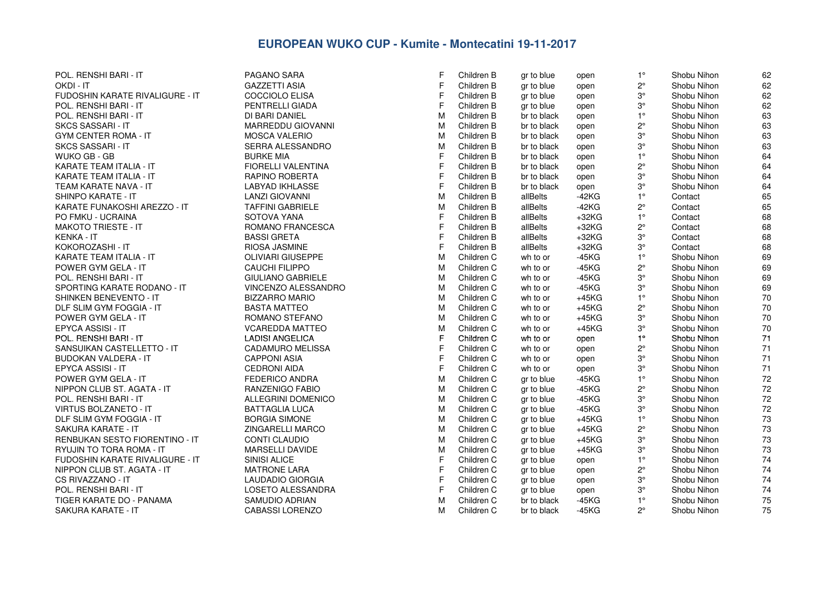| POL. RENSHI BARI - IT                  | PAGANO SARA               | F | Children B | gr to blue  | open    | $1^{\circ}$ | Shobu Nihon | 62   |
|----------------------------------------|---------------------------|---|------------|-------------|---------|-------------|-------------|------|
| OKDI - IT                              | <b>GAZZETTI ASIA</b>      | E | Children B | gr to blue  | open    | $2^{\circ}$ | Shobu Nihon | 62   |
| <b>FUDOSHIN KARATE RIVALIGURE - IT</b> | COCCIOLO ELISA            | F | Children B | gr to blue  | open    | $3^{\circ}$ | Shobu Nihon | 62   |
| POL. RENSHI BARI - IT                  | <b>PENTRELLI GIADA</b>    | F | Children B | gr to blue  | open    | 3°          | Shobu Nihon | 62   |
| POL. RENSHI BARI - IT                  | DI BARI DANIEL            | M | Children B | br to black | open    | $1^{\circ}$ | Shobu Nihon | 63   |
| SKCS SASSARI - IT                      | MARREDDU GIOVANNI         | M | Children B | br to black | open    | $2^{\circ}$ | Shobu Nihon | 63   |
| <b>GYM CENTER ROMA - IT</b>            | <b>MOSCA VALERIO</b>      | M | Children B | br to black | open    | 3°          | Shobu Nihon | 63   |
| SKCS SASSARI - IT                      | SERRA ALESSANDRO          | M | Children B | br to black | open    | 3°          | Shobu Nihon | 63   |
| WUKO GB - GB                           | <b>BURKE MIA</b>          | F | Children B | br to black | open    | $1^{\circ}$ | Shobu Nihon | 64   |
| KARATE TEAM ITALIA - IT                | <b>FIORELLI VALENTINA</b> | F | Children B | br to black | open    | $2^{\circ}$ | Shobu Nihon | 64   |
| KARATE TEAM ITALIA - IT                | RAPINO ROBERTA            |   | Children B | br to black | open    | 3°          | Shobu Nihon | 64   |
| TEAM KARATE NAVA - IT                  | <b>LABYAD IKHLASSE</b>    | F | Children B | br to black | open    | $3^\circ$   | Shobu Nihon | 64   |
| SHINPO KARATE - IT                     | <b>LANZI GIOVANNI</b>     | M | Children B | allBelts    | $-42KG$ | $1^{\circ}$ | Contact     | 65   |
| KARATE FUNAKOSHI AREZZO - IT           | <b>TAFFINI GABRIELE</b>   | M | Children B | allBelts    | $-42KG$ | $2^{\circ}$ | Contact     | 65   |
| PO FMKU - UCRAINA                      | SOTOVA YANA               | F | Children B | allBelts    | $+32KG$ | $1^{\circ}$ | Contact     | 68   |
| <b>MAKOTO TRIESTE - IT</b>             | ROMANO FRANCESCA          | F | Children B | allBelts    | $+32KG$ | $2^{\circ}$ | Contact     | 68   |
| KENKA - IT                             | <b>BASSI GRETA</b>        | F | Children B | allBelts    | $+32KG$ | $3^{\circ}$ | Contact     | 68   |
| KOKOROZASHI - IT                       | RIOSA JASMINE             | F | Children B | allBelts    | $+32KG$ | $3^\circ$   | Contact     | 68   |
| KARATE TEAM ITALIA - IT                | <b>OLIVIARI GIUSEPPE</b>  | M | Children C | wh to or    | $-45KG$ | $1^{\circ}$ | Shobu Nihon | 69   |
| POWER GYM GELA - IT                    | <b>CAUCHI FILIPPO</b>     | M | Children C | wh to or    | $-45KG$ | $2^{\circ}$ | Shobu Nihon | 69   |
| POL. RENSHI BARI - IT                  | <b>GIULIANO GABRIELE</b>  | M | Children C | wh to or    | $-45KG$ | $3^\circ$   | Shobu Nihon | 69   |
| SPORTING KARATE RODANO - IT            | VINCENZO ALESSANDRO       | M | Children C | wh to or    | $-45KG$ | $3^\circ$   | Shobu Nihon | 69   |
| SHINKEN BENEVENTO - IT                 | <b>BIZZARRO MARIO</b>     | M | Children C | wh to or    | $+45KG$ | $1^{\circ}$ | Shobu Nihon | 70   |
| DLF SLIM GYM FOGGIA - IT               | <b>BASTA MATTEO</b>       | M | Children C | wh to or    | $+45KG$ | $2^{\circ}$ | Shobu Nihon | 70   |
| POWER GYM GELA - IT                    | ROMANO STEFANO            | M | Children C | wh to or    | $+45KG$ | 3°          | Shobu Nihon | 70   |
| EPYCA ASSISI - IT                      | <b>VCAREDDA MATTEO</b>    | M | Children C | wh to or    | $+45KG$ | 3°          | Shobu Nihon | 70   |
| POL. RENSHI BARI - IT                  | <b>LADISI ANGELICA</b>    | F | Children C | wh to or    | open    | $1^{\circ}$ | Shobu Nihon | 71   |
| SANSUIKAN CASTELLETTO - IT             | <b>CADAMURO MELISSA</b>   | E | Children C | wh to or    | open    | $2^{\circ}$ | Shobu Nihon | $71$ |
| <b>BUDOKAN VALDERA - IT</b>            | <b>CAPPONI ASIA</b>       | F | Children C | wh to or    | open    | 3°          | Shobu Nihon | 71   |
| EPYCA ASSISI - IT                      | <b>CEDRONI AIDA</b>       | F | Children C | wh to or    | open    | $3^{\circ}$ | Shobu Nihon | 71   |
| POWER GYM GELA - IT                    | <b>FEDERICO ANDRA</b>     | M | Children C | gr to blue  | $-45KG$ | $1^{\circ}$ | Shobu Nihon | 72   |
| NIPPON CLUB ST. AGATA - IT             | <b>RANZENIGO FABIO</b>    | M | Children C | gr to blue  | $-45KG$ | $2^{\circ}$ | Shobu Nihon | 72   |
| POL. RENSHI BARI - IT                  | <b>ALLEGRINI DOMENICO</b> | M | Children C | gr to blue  | $-45KG$ | $3^\circ$   | Shobu Nihon | 72   |
| VIRTUS BOLZANETO - IT                  | <b>BATTAGLIA LUCA</b>     | M | Children C | gr to blue  | $-45KG$ | 3°          | Shobu Nihon | 72   |
| DLF SLIM GYM FOGGIA - IT               | <b>BORGIA SIMONE</b>      | м | Children C | gr to blue  | +45KG   | $1^{\circ}$ | Shobu Nihon | 73   |
| SAKURA KARATE - IT                     | ZINGARELLI MARCO          | M | Children C | gr to blue  | +45KG   | $2^{\circ}$ | Shobu Nihon | 73   |
| RENBUKAN SESTO FIORENTINO - IT         | CONTI CLAUDIO             | M | Children C | gr to blue  | $+45KG$ | $3^{\circ}$ | Shobu Nihon | 73   |
| RYUJIN TO TORA ROMA - IT               | <b>MARSELLI DAVIDE</b>    | M | Children C | gr to blue  | $+45KG$ | $3^\circ$   | Shobu Nihon | 73   |
| FUDOSHIN KARATE RIVALIGURE - IT        | SINISI ALICE              | F | Children C | gr to blue  | open    | $1^{\circ}$ | Shobu Nihon | 74   |
| NIPPON CLUB ST. AGATA - IT             | <b>MATRONE LARA</b>       | F | Children C | gr to blue  | open    | $2^{\circ}$ | Shobu Nihon | 74   |
| CS RIVAZZANO - IT                      | LAUDADIO GIORGIA          | F | Children C | gr to blue  | open    | $3^\circ$   | Shobu Nihon | 74   |
| POL. RENSHI BARI - IT                  | LOSETO ALESSANDRA         |   | Children C | gr to blue  | open    | $3^\circ$   | Shobu Nihon | 74   |
| TIGER KARATE DO - PANAMA               | SAMUDIO ADRIAN            | M | Children C | br to black | $-45KG$ | $1^{\circ}$ | Shobu Nihon | 75   |
| SAKURA KARATE - IT                     | CABASSI LORENZO           | M | Children C | br to black | -45KG   | $2^{\circ}$ | Shobu Nihon | 75   |
|                                        |                           |   |            |             |         |             |             |      |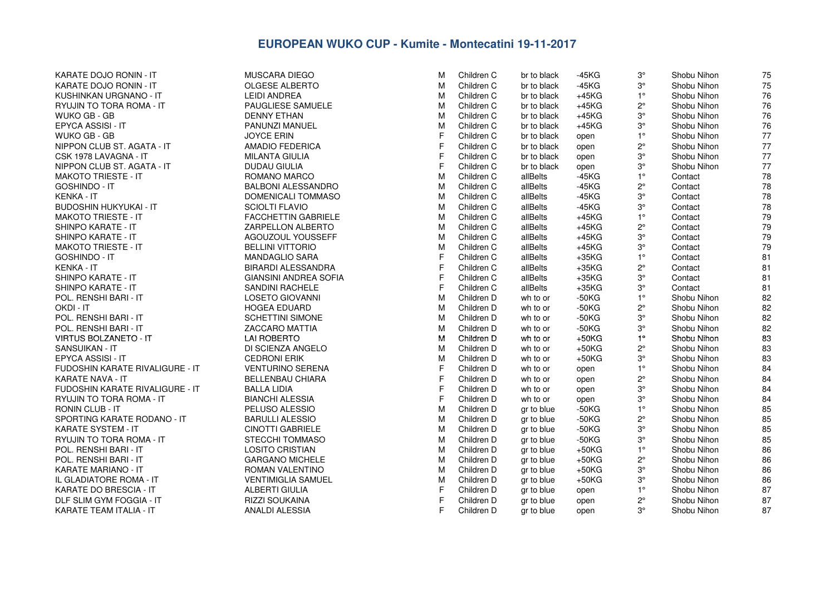| .            | אטשיש ויז שטשיש              |  |
|--------------|------------------------------|--|
| IT           | <b>OLGESE ALBERTO</b>        |  |
| - IT         | LEIDI ANDREA                 |  |
| 1 - P        | <b>PAUGLIESE SAMUELE</b>     |  |
|              | <b>DENNY ETHAN</b>           |  |
|              | PANUNZI MANUEL               |  |
|              | <b>JOYCE ERIN</b>            |  |
| $TA - IT$    | AMADIO FEDERICA              |  |
|              | <b>MILANTA GIULIA</b>        |  |
| $TA - IT$    | <b>DUDAU GIULIA</b>          |  |
|              | ROMANO MARCO                 |  |
|              | <b>BALBONI ALESSANDRO</b>    |  |
|              | DOMENICALI TOMMASO           |  |
| ٠IT          | <b>SCIOLTI FLAVIO</b>        |  |
|              | <b>FACCHETTIN GABRIELE</b>   |  |
|              | ZARPELLON ALBERTO            |  |
|              | AGOUZOUL YOUSSEFF            |  |
|              | <b>BELLINI VITTORIO</b>      |  |
|              | <b>MANDAGLIO SARA</b>        |  |
|              | BIRARDI ALESSANDRA           |  |
|              | <b>GIANSINI ANDREA SOFIA</b> |  |
|              | <b>SANDINI RACHELE</b>       |  |
|              | <b>LOSETO GIOVANNI</b>       |  |
|              | <b>HOGEA EDUARD</b>          |  |
|              | <b>SCHETTINI SIMONE</b>      |  |
|              | ZACCARO MATTIA               |  |
| т            | LAI ROBERTO                  |  |
|              | DI SCIENZA ANGELO            |  |
|              | <b>CEDRONI ERIK</b>          |  |
| ALIGURE - IT | <b>VENTURINO SERENA</b>      |  |
|              | <b>BELLENBAU CHIARA</b>      |  |
| ALIGURE - IT | <b>BALLA LIDIA</b>           |  |
| 1 - A        | <b>BIANCHI ALESSIA</b>       |  |
|              | PELUSO ALESSIO               |  |
| DANO - IT    | <b>BARULLI ALESSIO</b>       |  |
|              | <b>CINOTTI GABRIELE</b>      |  |
| 1 - A        | STECCHI TOMMASO              |  |
|              | <b>LOSITO CRISTIAN</b>       |  |
|              | <b>GARGANO MICHELE</b>       |  |
|              | ROMAN VALENTINO              |  |
| - IT         | <b>VENTIMIGLIA SAMUEL</b>    |  |
| IT           | ALBERTI GIULIA               |  |
| $-1T$        | <b>RIZZI SOUKAINA</b>        |  |
| ΙT           | ANALDI ALESSIA               |  |

| KARATE DOJO RONIN - IT          | <b>MUSCARA DIEGO</b>         | м           | Children C | br to black | -45KG   | 3°          | Shobu Nihon | 75 |
|---------------------------------|------------------------------|-------------|------------|-------------|---------|-------------|-------------|----|
| KARATE DOJO RONIN - IT          | <b>OLGESE ALBERTO</b>        | M           | Children C | br to black | $-45KG$ | $3^\circ$   | Shobu Nihon | 75 |
| KUSHINKAN URGNANO - IT          | <b>LEIDI ANDREA</b>          | M           | Children C | br to black | +45KG   | $1^{\circ}$ | Shobu Nihon | 76 |
| RYUJIN TO TORA ROMA - IT        | PAUGLIESE SAMUELE            | M           | Children C | br to black | +45KG   | $2^{\circ}$ | Shobu Nihon | 76 |
| WUKO GB - GB                    | <b>DENNY ETHAN</b>           | м           | Children C | br to black | $+45KG$ | $3^\circ$   | Shobu Nihon | 76 |
| EPYCA ASSISI - IT               | PANUNZI MANUEL               | м           | Children C | br to black | $+45KG$ | $3^\circ$   | Shobu Nihon | 76 |
| WUKO GB - GB                    | <b>JOYCE ERIN</b>            | F           | Children C | br to black | open    | $1^{\circ}$ | Shobu Nihon | 77 |
| NIPPON CLUB ST. AGATA - IT      | AMADIO FEDERICA              | F           | Children C | br to black | open    | $2^{\circ}$ | Shobu Nihon | 77 |
| CSK 1978 LAVAGNA - IT           | <b>MILANTA GIULIA</b>        | F           | Children C | br to black | open    | $3^\circ$   | Shobu Nihon | 77 |
| NIPPON CLUB ST. AGATA - IT      | <b>DUDAU GIULIA</b>          | F           | Children C | br to black | open    | $3^\circ$   | Shobu Nihon | 77 |
| MAKOTO TRIESTE - IT             | ROMANO MARCO                 | м           | Children C | allBelts    | $-45KG$ | $1^{\circ}$ | Contact     | 78 |
| GOSHINDO - IT                   | <b>BALBONI ALESSANDRO</b>    | M           | Children C | allBelts    | $-45KG$ | $2^{\circ}$ | Contact     | 78 |
| KENKA - IT                      | DOMENICALI TOMMASO           | М           | Children C | allBelts    | $-45KG$ | $3^{\circ}$ | Contact     | 78 |
| BUDOSHIN HUKYUKAI - IT          | <b>SCIOLTI FLAVIO</b>        | M           | Children C | allBelts    | $-45KG$ | $3^\circ$   | Contact     | 78 |
| MAKOTO TRIESTE - IT             | <b>FACCHETTIN GABRIELE</b>   | M           | Children C | allBelts    | +45KG   | $1^{\circ}$ | Contact     | 79 |
| SHINPO KARATE - IT              | ZARPELLON ALBERTO            | м           | Children C | allBelts    | $+45KG$ | $2^{\circ}$ | Contact     | 79 |
| SHINPO KARATE - IT              | AGOUZOUL YOUSSEFF            | M           | Children C | allBelts    | +45KG   | $3^\circ$   | Contact     | 79 |
| MAKOTO TRIESTE - IT             | <b>BELLINI VITTORIO</b>      | M           | Children C | allBelts    | +45KG   | $3^\circ$   | Contact     | 79 |
| GOSHINDO - IT                   | <b>MANDAGLIO SARA</b>        | F           | Children C | allBelts    | $+35KG$ | $1^{\circ}$ | Contact     | 81 |
| KENKA - IT                      | <b>BIRARDI ALESSANDRA</b>    | F           | Children C | allBelts    | $+35KG$ | $2^{\circ}$ | Contact     | 81 |
| SHINPO KARATE - IT              | <b>GIANSINI ANDREA SOFIA</b> | F           | Children C | allBelts    | $+35KG$ | $3^\circ$   | Contact     | 81 |
| SHINPO KARATE - IT              | <b>SANDINI RACHELE</b>       | F           | Children C | allBelts    | $+35KG$ | $3^\circ$   | Contact     | 81 |
| POL. RENSHI BARI - IT           | LOSETO GIOVANNI              | M           | Children D | wh to or    | $-50KG$ | $1^{\circ}$ | Shobu Nihon | 82 |
| okdi - It                       | <b>HOGEA EDUARD</b>          | M           | Children D | wh to or    | $-50KG$ | $2^{\circ}$ | Shobu Nihon | 82 |
| POL. RENSHI BARI - IT           | <b>SCHETTINI SIMONE</b>      | м           | Children D | wh to or    | -50KG   | 3°          | Shobu Nihon | 82 |
| POL. RENSHI BARI - IT           | ZACCARO MATTIA               | M           | Children D | wh to or    | $-50KG$ | $3^{\circ}$ | Shobu Nihon | 82 |
| VIRTUS BOLZANETO - IT           | <b>LAI ROBERTO</b>           | M           | Children D | wh to or    | $+50KG$ | $1^{\circ}$ | Shobu Nihon | 83 |
| SANSUIKAN - IT                  | DI SCIENZA ANGELO            | M           | Children D | wh to or    | $+50KG$ | $2^{\circ}$ | Shobu Nihon | 83 |
| EPYCA ASSISI - IT               | <b>CEDRONI ERIK</b>          | M           | Children D | wh to or    | $+50KG$ | $3^\circ$   | Shobu Nihon | 83 |
| FUDOSHIN KARATE RIVALIGURE - IT | <b>VENTURINO SERENA</b>      |             | Children D | wh to or    | open    | $1^{\circ}$ | Shobu Nihon | 84 |
| KARATE NAVA - IT                | <b>BELLENBAU CHIARA</b>      | F           | Children D | wh to or    | open    | $2^{\circ}$ | Shobu Nihon | 84 |
| FUDOSHIN KARATE RIVALIGURE - IT | <b>BALLA LIDIA</b>           | F           | Children D | wh to or    | open    | $3^\circ$   | Shobu Nihon | 84 |
| RYUJIN TO TORA ROMA - IT        | <b>BIANCHI ALESSIA</b>       | $\mathsf F$ | Children D | wh to or    | open    | $3^{\circ}$ | Shobu Nihon | 84 |
| RONIN CLUB - IT                 | PELUSO ALESSIO               | м           | Children D | gr to blue  | $-50KG$ | $1^{\circ}$ | Shobu Nihon | 85 |
| SPORTING KARATE RODANO - IT     | <b>BARULLI ALESSIO</b>       | M           | Children D | gr to blue  | $-50KG$ | $2^{\circ}$ | Shobu Nihon | 85 |
| KARATE SYSTEM - IT              | CINOTTI GABRIELE             | м           | Children D | gr to blue  | $-50KG$ | $3^{\circ}$ | Shobu Nihon | 85 |
| RYUJIN TO TORA ROMA - IT        | STECCHI TOMMASO              | М           | Children D | gr to blue  | $-50KG$ | 3°          | Shobu Nihon | 85 |
| POL. RENSHI BARI - IT           | <b>LOSITO CRISTIAN</b>       | M           | Children D | gr to blue  | $+50KG$ | $1^{\circ}$ | Shobu Nihon | 86 |
| POL. RENSHI BARI - IT           | <b>GARGANO MICHELE</b>       | м           | Children D | gr to blue  | $+50KG$ | $2^{\circ}$ | Shobu Nihon | 86 |
| KARATE MARIANO - IT             | ROMAN VALENTINO              | M           | Children D | gr to blue  | $+50KG$ | $3^\circ$   | Shobu Nihon | 86 |
| IL GLADIATORE ROMA - IT         | <b>VENTIMIGLIA SAMUEL</b>    | M           | Children D | gr to blue  | $+50KG$ | $3^\circ$   | Shobu Nihon | 86 |
| KARATE DO BRESCIA - IT          | ALBERTI GIULIA               | F           | Children D | gr to blue  | open    | $1^{\circ}$ | Shobu Nihon | 87 |
| DLF SLIM GYM FOGGIA - IT        | <b>RIZZI SOUKAINA</b>        | F           | Children D | gr to blue  | open    | $2^{\circ}$ | Shobu Nihon | 87 |
| KARATE TEAM ITALIA - IT         | ANALDI ALESSIA               | F.          | Children D | gr to blue  | open    | $3^\circ$   | Shobu Nihon | 87 |
|                                 |                              |             |            |             |         |             |             |    |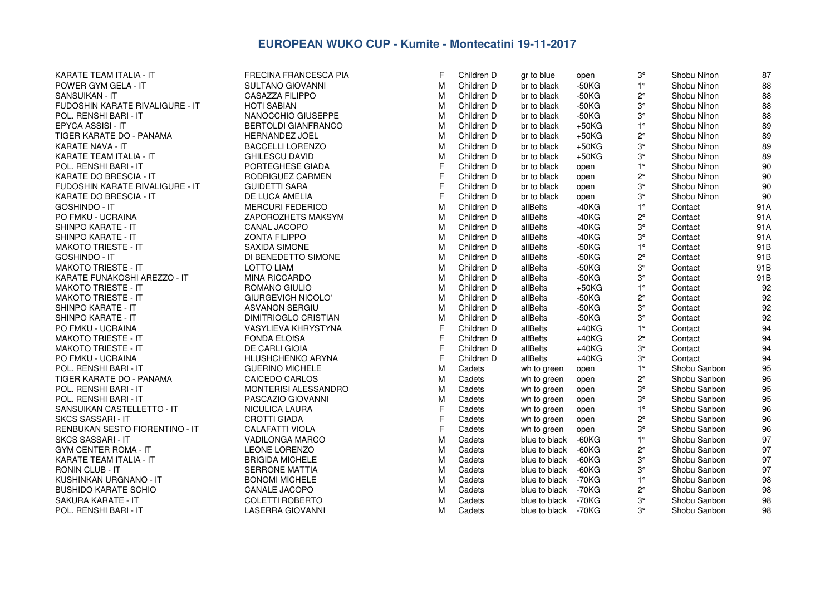| KARATE TEAM ITALIA - IT                | <b>FRECINA FRANCESCA PIA</b> | F | Children D | gr to blue    | open     | $3^\circ$   | Shobu Nihon  | 87  |
|----------------------------------------|------------------------------|---|------------|---------------|----------|-------------|--------------|-----|
| POWER GYM GELA - IT                    | <b>SULTANO GIOVANNI</b>      | M | Children D | br to black   | $-50KG$  | $1^{\circ}$ | Shobu Nihon  | 88  |
| SANSUIKAN - IT                         | <b>CASAZZA FILIPPO</b>       | M | Children D | br to black   | $-50K$   | $2^{\circ}$ | Shobu Nihon  | 88  |
| FUDOSHIN KARATE RIVALIGURE - IT        | <b>HOTI SABIAN</b>           | M | Children D | br to black   | $-50KG$  | $3^{\circ}$ | Shobu Nihon  | 88  |
| POL. RENSHI BARI - IT                  | NANOCCHIO GIUSEPPE           | M | Children D | br to black   | $-50$ KG | $3^\circ$   | Shobu Nihon  | 88  |
| EPYCA ASSISI - IT                      | <b>BERTOLDI GIANFRANCO</b>   | м | Children D | br to black   | $+50KG$  | $1^{\circ}$ | Shobu Nihon  | 89  |
| TIGER KARATE DO - PANAMA               | <b>HERNANDEZ JOEL</b>        | M | Children D | br to black   | $+50$ KG | $2^{\circ}$ | Shobu Nihon  | 89  |
| KARATE NAVA - IT                       | <b>BACCELLI LORENZO</b>      | M | Children D | br to black   | $+50KG$  | $3^\circ$   | Shobu Nihon  | 89  |
| KARATE TEAM ITALIA - IT                | <b>GHILESCU DAVID</b>        | M | Children D | br to black   | $+50$ KG | $3^\circ$   | Shobu Nihon  | 89  |
| POL. RENSHI BARI - IT                  | PORTEGHESE GIADA             | F | Children D | br to black   | open     | $1^{\circ}$ | Shobu Nihon  | 90  |
| KARATE DO BRESCIA - IT                 | RODRIGUEZ CARMEN             | F | Children D | br to black   | open     | $2^{\circ}$ | Shobu Nihon  | 90  |
| <b>FUDOSHIN KARATE RIVALIGURE - IT</b> | <b>GUIDETTI SARA</b>         | F | Children D | br to black   | open     | $3^{\circ}$ | Shobu Nihon  | 90  |
| KARATE DO BRESCIA - IT                 | DE LUCA AMELIA               | F | Children D | br to black   | open     | $3^\circ$   | Shobu Nihon  | 90  |
| <b>GOSHINDO - IT</b>                   | <b>MERCURI FEDERICO</b>      | M | Children D | allBelts      | $-40K$   | $1^{\circ}$ | Contact      | 91A |
| PO FMKU - UCRAINA                      | ZAPOROZHETS MAKSYM           | M | Children D | allBelts      | $-40KG$  | $2^{\circ}$ | Contact      | 91A |
| SHINPO KARATE - IT                     | CANAL JACOPO                 | M | Children D | allBelts      | -40KG    | $3^\circ$   | Contact      | 91A |
| SHINPO KARATE - IT                     | <b>ZONTA FILIPPO</b>         | M | Children D | allBelts      | $-40K$   | $3^{\circ}$ | Contact      | 91A |
| <b>MAKOTO TRIESTE - IT</b>             | <b>SAXIDA SIMONE</b>         | M | Children D | allBelts      | $-50K$   | $1^{\circ}$ | Contact      | 91B |
| <b>GOSHINDO - IT</b>                   | DI BENEDETTO SIMONE          | M | Children D | allBelts      | $-50KG$  | $2^{\circ}$ | Contact      | 91B |
| <b>MAKOTO TRIESTE - IT</b>             | <b>LOTTO LIAM</b>            | M | Children D | allBelts      | $-50K$   | $3^{\circ}$ | Contact      | 91B |
| KARATE FUNAKOSHI AREZZO - IT           | <b>MINA RICCARDO</b>         | м | Children D | allBelts      | $-50KG$  | $3^{\circ}$ | Contact      | 91B |
| <b>MAKOTO TRIESTE - IT</b>             | ROMANO GIULIO                | M | Children D | allBelts      | $+50KG$  | $1^{\circ}$ | Contact      | 92  |
| <b>MAKOTO TRIESTE - IT</b>             | <b>GIURGEVICH NICOLO'</b>    | M | Children D | allBelts      | $-50K$   | $2^{\circ}$ | Contact      | 92  |
| SHINPO KARATE - IT                     | <b>ASVANON SERGIU</b>        | M | Children D | allBelts      | $-50KG$  | $3^{\circ}$ | Contact      | 92  |
| SHINPO KARATE - IT                     | DIMITRIOGLO CRISTIAN         | M | Children D | allBelts      | $-50$ KG | $3^\circ$   | Contact      | 92  |
| PO FMKU - UCRAINA                      | VASYLIEVA KHRYSTYNA          | F | Children D | allBelts      | $+40KG$  | $1^{\circ}$ | Contact      | 94  |
| <b>MAKOTO TRIESTE - IT</b>             | <b>FONDA ELOISA</b>          | F | Children D | allBelts      | $+40KG$  | $2^{\circ}$ | Contact      | 94  |
| MAKOTO TRIESTE - IT                    | <b>DE CARLI GIOIA</b>        | F | Children D | allBelts      | $+40KG$  | $3^\circ$   | Contact      | 94  |
| PO FMKU - UCRAINA                      | <b>HLUSHCHENKO ARYNA</b>     | F | Children D | allBelts      | $+40KG$  | $3^{\circ}$ | Contact      | 94  |
| POL. RENSHI BARI - IT                  | <b>GUERINO MICHELE</b>       | M | Cadets     | wh to green   | open     | $1^{\circ}$ | Shobu Sanbon | 95  |
| TIGER KARATE DO - PANAMA               | CAICEDO CARLOS               | M | Cadets     | wh to green   | open     | $2^{\circ}$ | Shobu Sanbon | 95  |
| POL. RENSHI BARI - IT                  | <b>MONTERISI ALESSANDRO</b>  | M | Cadets     | wh to green   | open     | $3^\circ$   | Shobu Sanbon | 95  |
| POL. RENSHI BARI - IT                  | PASCAZIO GIOVANNI            | M | Cadets     | wh to green   | open     | $3^\circ$   | Shobu Sanbon | 95  |
| SANSUIKAN CASTELLETTO - IT             | NICULICA LAURA               | F | Cadets     | wh to green   | open     | $1^{\circ}$ | Shobu Sanbon | 96  |
| SKCS SASSARI - IT                      | <b>CROTTI GIADA</b>          | F | Cadets     | wh to green   | open     | $2^{\circ}$ | Shobu Sanbon | 96  |
| RENBUKAN SESTO FIORENTINO - IT         | CALAFATTI VIOLA              | F | Cadets     | wh to green   | open     | $3^\circ$   | Shobu Sanbon | 96  |
| SKCS SASSARI - IT                      | <b>VADILONGA MARCO</b>       | M | Cadets     | blue to black | $-60$ KG | $1^{\circ}$ | Shobu Sanbon | 97  |
| GYM CENTER ROMA - IT                   | <b>LEONE LORENZO</b>         | M | Cadets     | blue to black | $-60KG$  | $2^{\circ}$ | Shobu Sanbon | 97  |
| KARATE TEAM ITALIA - IT                | <b>BRIGIDA MICHELE</b>       | M | Cadets     | blue to black | $-60KG$  | $3^\circ$   | Shobu Sanbon | 97  |
| <b>RONIN CLUB - IT</b>                 | SERRONE MATTIA               | м | Cadets     | blue to black | $-60K$   | $3^\circ$   | Shobu Sanbon | 97  |
| KUSHINKAN URGNANO - IT                 | <b>BONOMI MICHELE</b>        | м | Cadets     | blue to black | -70KG    | $1^{\circ}$ | Shobu Sanbon | 98  |
| <b>BUSHIDO KARATE SCHIO</b>            | CANALE JACOPO                | M | Cadets     | blue to black | $-70$ KG | $2^{\circ}$ | Shobu Sanbon | 98  |
| SAKURA KARATE - IT                     | <b>COLETTI ROBERTO</b>       | M | Cadets     | blue to black | $-70$ KG | $3^\circ$   | Shobu Sanbon | 98  |
| POL. RENSHI BARI - IT                  | <b>LASERRA GIOVANNI</b>      | M | Cadets     | blue to black | -70KG    | $3^\circ$   | Shobu Sanbon | 98  |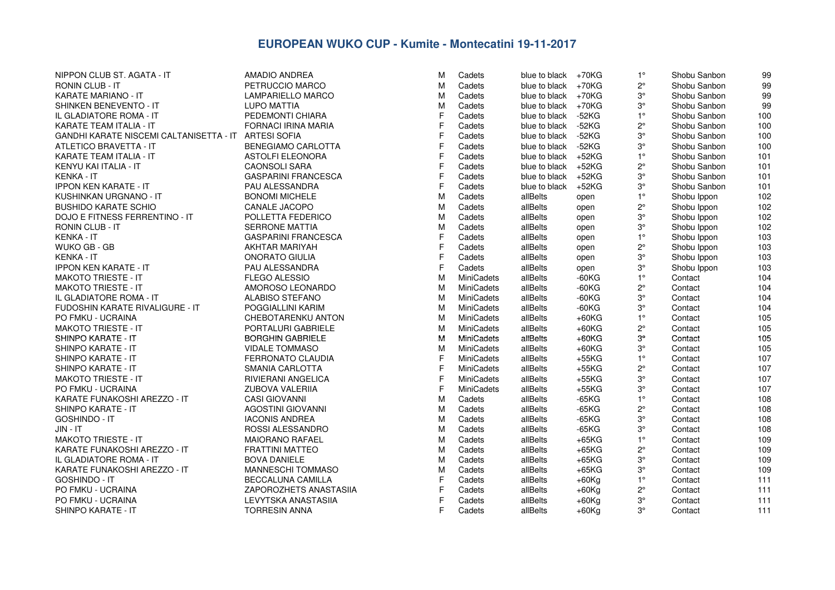| NIPPON CLUB ST. AGATA - IT                           | <b>AMADIO ANDREA</b>       | м | Cadets            | blue to black $+70$ KG |          | $1^{\circ}$ | Shobu Sanbon | 99  |
|------------------------------------------------------|----------------------------|---|-------------------|------------------------|----------|-------------|--------------|-----|
| <b>RONIN CLUB - IT</b>                               | PETRUCCIO MARCO            | M | Cadets            | blue to black $+70$ KG |          | 2°          | Shobu Sanbon | 99  |
| KARATE MARIANO - IT                                  | LAMPARIELLO MARCO          | M | Cadets            | blue to black +70KG    |          | $3^\circ$   | Shobu Sanbon | 99  |
| SHINKEN BENEVENTO - IT                               | <b>LUPO MATTIA</b>         | M | Cadets            | blue to black $+70$ KG |          | $3^{\circ}$ | Shobu Sanbon | 99  |
| IL GLADIATORE ROMA - IT                              | PEDEMONTI CHIARA           | F | Cadets            | blue to black          | -52KG    | $1^{\circ}$ | Shobu Sanbon | 100 |
| KARATE TEAM ITALIA - IT                              | <b>FORNACI IRINA MARIA</b> | F | Cadets            | blue to black          | $-52KG$  | $2^{\circ}$ | Shobu Sanbon | 100 |
| GANDHI KARATE NISCEMI CALTANISETTA - IT ARTESI SOFIA |                            | F | Cadets            | blue to black          | $-52KG$  | $3^{\circ}$ | Shobu Sanbon | 100 |
| ATLETICO BRAVETTA - IT                               | <b>BENEGIAMO CARLOTTA</b>  | F | Cadets            | blue to black          | $-52KG$  | $3^\circ$   | Shobu Sanbon | 100 |
| KARATE TEAM ITALIA - IT                              | <b>ASTOLFI ELEONORA</b>    | F | Cadets            | blue to black $+52KG$  |          | $1^{\circ}$ | Shobu Sanbon | 101 |
| KENYU KAI ITALIA - IT                                | <b>CAONSOLI SARA</b>       | F | Cadets            | blue to black $+52KG$  |          | $2^{\circ}$ | Shobu Sanbon | 101 |
| <b>KENKA - IT</b>                                    | <b>GASPARINI FRANCESCA</b> | F | Cadets            | blue to black +52KG    |          | $3^\circ$   | Shobu Sanbon | 101 |
| <b>IPPON KEN KARATE - IT</b>                         | PAU ALESSANDRA             | F | Cadets            | blue to black          | $+52KG$  | $3^\circ$   | Shobu Sanbon | 101 |
| KUSHINKAN URGNANO - IT                               | <b>BONOMI MICHELE</b>      | M | Cadets            | allBelts               | open     | $1^{\circ}$ | Shobu Ippon  | 102 |
| <b>BUSHIDO KARATE SCHIO</b>                          | <b>CANALE JACOPO</b>       | M | Cadets            | allBelts               | open     | $2^{\circ}$ | Shobu Ippon  | 102 |
| DOJO E FITNESS FERRENTINO - IT                       | POLLETTA FEDERICO          | M | Cadets            | allBelts               | open     | 3°          | Shobu Ippon  | 102 |
| <b>RONIN CLUB - IT</b>                               | <b>SERRONE MATTIA</b>      | M | Cadets            | allBelts               | open     | $3^{\circ}$ | Shobu Ippon  | 102 |
| <b>KENKA - IT</b>                                    | <b>GASPARINI FRANCESCA</b> | F | Cadets            | allBelts               | open     | $1^{\circ}$ | Shobu Ippon  | 103 |
| WUKO GB - GB                                         | AKHTAR MARIYAH             | F | Cadets            | allBelts               | open     | $2^{\circ}$ | Shobu Ippon  | 103 |
| KENKA - IT                                           | <b>ONORATO GIULIA</b>      | F | Cadets            | allBelts               | open     | $3^\circ$   | Shobu Ippon  | 103 |
| <b>IPPON KEN KARATE - IT</b>                         | PAU ALESSANDRA             | F | Cadets            | allBelts               | open     | $3^{\circ}$ | Shobu Ippon  | 103 |
| <b>MAKOTO TRIESTE - IT</b>                           | <b>FLEGO ALESSIO</b>       | M | <b>MiniCadets</b> | allBelts               | $-60KG$  | $1^{\circ}$ | Contact      | 104 |
| <b>MAKOTO TRIESTE - IT</b>                           | AMOROSO LEONARDO           | M | <b>MiniCadets</b> | allBelts               | $-60KG$  | $2^{\circ}$ | Contact      | 104 |
| IL GLADIATORE ROMA - IT                              | ALABISO STEFANO            | M | MiniCadets        | allBelts               | -60KG    | $3^{\circ}$ | Contact      | 104 |
| FUDOSHIN KARATE RIVALIGURE - IT                      | POGGIALLINI KARIM          | M | MiniCadets        | allBelts               | $-60KG$  | $3^\circ$   | Contact      | 104 |
| PO FMKU - UCRAINA                                    | CHEBOTARENKU ANTON         | M | MiniCadets        | allBelts               | $+60KG$  | $1^{\circ}$ | Contact      | 105 |
| <b>MAKOTO TRIESTE - IT</b>                           | PORTALURI GABRIELE         | M | MiniCadets        | allBelts               | $+60KG$  | $2^{\circ}$ | Contact      | 105 |
| SHINPO KARATE - IT                                   | <b>BORGHIN GABRIELE</b>    | M | MiniCadets        | allBelts               | $+60KG$  | $3^{\circ}$ | Contact      | 105 |
| SHINPO KARATE - IT                                   | <b>VIDALE TOMMASO</b>      | м | MiniCadets        | allBelts               | $+60KG$  | $3^\circ$   | Contact      | 105 |
| SHINPO KARATE - IT                                   | <b>FERRONATO CLAUDIA</b>   | F | <b>MiniCadets</b> | allBelts               | $+55KG$  | $1^{\circ}$ | Contact      | 107 |
| SHINPO KARATE - IT                                   | <b>SMANIA CARLOTTA</b>     | F | MiniCadets        | allBelts               | $+55KG$  | $2^{\circ}$ | Contact      | 107 |
| <b>MAKOTO TRIESTE - IT</b>                           | <b>RIVIERANI ANGELICA</b>  | F | MiniCadets        | allBelts               | $+55KG$  | $3^\circ$   | Contact      | 107 |
| PO FMKU - UCRAINA                                    | ZUBOVA VALERIIA            | F | <b>MiniCadets</b> | allBelts               | $+55KG$  | $3^\circ$   | Contact      | 107 |
| KARATE FUNAKOSHI AREZZO - IT                         | <b>CASI GIOVANNI</b>       | M | Cadets            | allBelts               | $-65KG$  | $1^{\circ}$ | Contact      | 108 |
| SHINPO KARATE - IT                                   | <b>AGOSTINI GIOVANNI</b>   | M | Cadets            | allBelts               | $-65KG$  | $2^{\circ}$ | Contact      | 108 |
| GOSHINDO - IT                                        | <b>IACONIS ANDREA</b>      | M | Cadets            | allBelts               | $-65KG$  | $3^{\circ}$ | Contact      | 108 |
| JIN - IT                                             | ROSSI ALESSANDRO           | M | Cadets            | allBelts               | $-65KG$  | $3^{\circ}$ | Contact      | 108 |
| <b>MAKOTO TRIESTE - IT</b>                           | <b>MAIORANO RAFAEL</b>     | M | Cadets            | allBelts               | $+65KG$  | $1^{\circ}$ | Contact      | 109 |
| KARATE FUNAKOSHI AREZZO - IT                         | <b>FRATTINI MATTEO</b>     | M | Cadets            | allBelts               | $+65KG$  | $2^{\circ}$ | Contact      | 109 |
| IL GLADIATORE ROMA - IT                              | <b>BOVA DANIELE</b>        | M | Cadets            | allBelts               | $+65KG$  | $3^{\circ}$ | Contact      | 109 |
| KARATE FUNAKOSHI AREZZO - IT                         | <b>MANNESCHI TOMMASO</b>   | M | Cadets            | allBelts               | $+65KG$  | $3^{\circ}$ | Contact      | 109 |
| <b>GOSHINDO - IT</b>                                 | <b>BECCALUNA CAMILLA</b>   | F | Cadets            | allBelts               | $+60$ Kg | $1^{\circ}$ | Contact      | 111 |
| PO FMKU - UCRAINA                                    | ZAPOROZHETS ANASTASIIA     | F | Cadets            | allBelts               | $+60$ Kg | $2^{\circ}$ | Contact      | 111 |
| PO FMKU - UCRAINA                                    | LEVYTSKA ANASTASIIA        | F | Cadets            | allBelts               | $+60$ Kg | $3^\circ$   | Contact      | 111 |
| SHINPO KARATE - IT                                   | <b>TORRESIN ANNA</b>       | F | Cadets            | allBelts               | $+60$ Kg | $3^\circ$   | Contact      | 111 |
|                                                      |                            |   |                   |                        |          |             |              |     |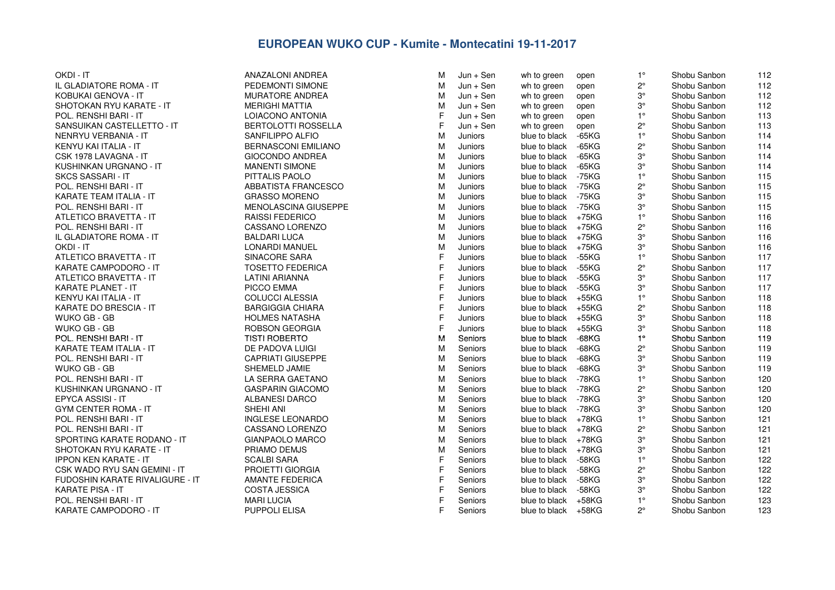| OKDI - IT                       | ANAZALONI ANDREA            | м            | $Jun + Sen$ | wh to green           | open     | $1^{\circ}$ | Shobu Sanbon | 112 |
|---------------------------------|-----------------------------|--------------|-------------|-----------------------|----------|-------------|--------------|-----|
| IL GLADIATORE ROMA - IT         | PEDEMONTI SIMONE            | м            | $Jun + Sen$ | wh to green           | open     | $2^{\circ}$ | Shobu Sanbon | 112 |
| KOBUKAI GENOVA - IT             | <b>MURATORE ANDREA</b>      | M            | $Jun + Sen$ | wh to green           | open     | $3^\circ$   | Shobu Sanbon | 112 |
| SHOTOKAN RYU KARATE - IT        | <b>MERIGHI MATTIA</b>       | M            | $Jun + Sen$ | wh to green           | open     | 3°          | Shobu Sanbon | 112 |
| POL. RENSHI BARI - IT           | LOIACONO ANTONIA            | F            | $Jun + Sen$ | wh to green           | open     | $1^{\circ}$ | Shobu Sanbon | 113 |
| SANSUIKAN CASTELLETTO - IT      | <b>BERTOLOTTI ROSSELLA</b>  | F            | $Jun + Sen$ | wh to green           | open     | $2^{\circ}$ | Shobu Sanbon | 113 |
| NENRYU VERBANIA - IT            | SANFILIPPO ALFIO            | M            | Juniors     | blue to black         | $-65KG$  | $1^{\circ}$ | Shobu Sanbon | 114 |
| KENYU KAI ITALIA - IT           | BERNASCONI EMILIANO         | M            | Juniors     | blue to black         | $-65KG$  | $2^{\circ}$ | Shobu Sanbon | 114 |
| CSK 1978 LAVAGNA - IT           | <b>GIOCONDO ANDREA</b>      | M            | Juniors     | blue to black         | $-65KG$  | 3°          | Shobu Sanbon | 114 |
| KUSHINKAN URGNANO - IT          | <b>MANENTI SIMONE</b>       | M            | Juniors     | blue to black         | $-65KG$  | $3^{\circ}$ | Shobu Sanbon | 114 |
| <b>SKCS SASSARI - IT</b>        | <b>PITTALIS PAOLO</b>       | M            | Juniors     | blue to black         | $-75KG$  | $1^{\circ}$ | Shobu Sanbon | 115 |
| POL. RENSHI BARI - IT           | ABBATISTA FRANCESCO         | M            | Juniors     | blue to black         | -75KG    | $2^{\circ}$ | Shobu Sanbon | 115 |
| KARATE TEAM ITALIA - IT         | <b>GRASSO MORENO</b>        | M            | Juniors     | blue to black         | -75KG    | $3^{\circ}$ | Shobu Sanbon | 115 |
| POL. RENSHI BARI - IT           | <b>MENOLASCINA GIUSEPPE</b> | M            | Juniors     | blue to black         | -75KG    | $3^{\circ}$ | Shobu Sanbon | 115 |
| ATLETICO BRAVETTA - IT          | <b>RAISSI FEDERICO</b>      | M            | Juniors     | blue to black $+75KG$ |          | $1^{\circ}$ | Shobu Sanbon | 116 |
| POL. RENSHI BARI - IT           | CASSANO LORENZO             | M            | Juniors     | blue to black +75KG   |          | $2^{\circ}$ | Shobu Sanbon | 116 |
| IL GLADIATORE ROMA - IT         | <b>BALDARI LUCA</b>         | M            | Juniors     | blue to black $+75KG$ |          | 3°          | Shobu Sanbon | 116 |
| OKDI - IT                       | <b>LONARDI MANUEL</b>       | M            | Juniors     | blue to black $+75KG$ |          | $3^\circ$   | Shobu Sanbon | 116 |
| ATLETICO BRAVETTA - IT          | <b>SINACORE SARA</b>        | F            | Juniors     | blue to black         | $-55KG$  | $1^{\circ}$ | Shobu Sanbon | 117 |
| KARATE CAMPODORO - IT           | <b>TOSETTO FEDERICA</b>     | F            | Juniors     | blue to black         | $-55KG$  | $2^{\circ}$ | Shobu Sanbon | 117 |
| ATLETICO BRAVETTA - IT          | <b>LATINI ARIANNA</b>       | F            | Juniors     | blue to black         | $-55KG$  | $3^\circ$   | Shobu Sanbon | 117 |
| <b>KARATE PLANET - IT</b>       | PICCO EMMA                  | $\mathsf{F}$ | Juniors     | blue to black         | $-55KG$  | $3^\circ$   | Shobu Sanbon | 117 |
| KENYU KAI ITALIA - IT           | <b>COLUCCI ALESSIA</b>      | F            | Juniors     | blue to black         | +55KG    | $1^{\circ}$ | Shobu Sanbon | 118 |
| KARATE DO BRESCIA - IT          | <b>BARGIGGIA CHIARA</b>     | F            | Juniors     | blue to black         | $+55KG$  | $2^{\circ}$ | Shobu Sanbon | 118 |
| WUKO GB - GB                    | <b>HOLMES NATASHA</b>       | $\mathsf{F}$ | Juniors     | blue to black $+55KG$ |          | $3^\circ$   | Shobu Sanbon | 118 |
| WUKO GB - GB                    | <b>ROBSON GEORGIA</b>       | F            | Juniors     | blue to black         | +55KG    | $3^\circ$   | Shobu Sanbon | 118 |
| POL. RENSHI BARI - IT           | <b>TISTI ROBERTO</b>        | M            | Seniors     | blue to black         | $-68KG$  | $1^{\circ}$ | Shobu Sanbon | 119 |
| KARATE TEAM ITALIA - IT         | DE PADOVA LUIGI             | м            | Seniors     | blue to black         | $-68KG$  | $2^{\circ}$ | Shobu Sanbon | 119 |
| POL. RENSHI BARI - IT           | <b>CAPRIATI GIUSEPPE</b>    | M            | Seniors     | blue to black         | $-68KG$  | $3^{\circ}$ | Shobu Sanbon | 119 |
| WUKO GB - GB                    | <b>SHEMELD JAMIE</b>        | M            | Seniors     | blue to black         | $-68KG$  | 3°          | Shobu Sanbon | 119 |
| POL. RENSHI BARI - IT           | LA SERRA GAETANO            | M            | Seniors     | blue to black         | $-78KG$  | $1^{\circ}$ | Shobu Sanbon | 120 |
| KUSHINKAN URGNANO - IT          | <b>GASPARIN GIACOMO</b>     | M            | Seniors     | blue to black         | $-78K$ G | $2^{\circ}$ | Shobu Sanbon | 120 |
| EPYCA ASSISI - IT               | <b>ALBANESI DARCO</b>       | M            | Seniors     | blue to black         | -78KG    | $3^{\circ}$ | Shobu Sanbon | 120 |
| <b>GYM CENTER ROMA - IT</b>     | SHEHI ANI                   | M            | Seniors     | blue to black         | -78KG    | $3^\circ$   | Shobu Sanbon | 120 |
| POL. RENSHI BARI - IT           | <b>INGLESE LEONARDO</b>     | M            | Seniors     | blue to black +78KG   |          | $1^{\circ}$ | Shobu Sanbon | 121 |
| POL. RENSHI BARI - IT           | CASSANO LORENZO             | M            | Seniors     | blue to black +78KG   |          | $2^{\circ}$ | Shobu Sanbon | 121 |
| SPORTING KARATE RODANO - IT     | <b>GIANPAOLO MARCO</b>      | M            | Seniors     | blue to black +78KG   |          | $3^\circ$   | Shobu Sanbon | 121 |
| SHOTOKAN RYU KARATE - IT        | PRIAMO DEMJS                | м            | Seniors     | blue to black $+78KG$ |          | $3^\circ$   | Shobu Sanbon | 121 |
| <b>IPPON KEN KARATE - IT</b>    | <b>SCALBI SARA</b>          | F            | Seniors     | blue to black         | $-58KG$  | $1^{\circ}$ | Shobu Sanbon | 122 |
| CSK WADO RYU SAN GEMINI - IT    | PROIETTI GIORGIA            | F            | Seniors     | blue to black         | $-58KG$  | $2^{\circ}$ | Shobu Sanbon | 122 |
| FUDOSHIN KARATE RIVALIGURE - IT | <b>AMANTE FEDERICA</b>      | F            | Seniors     | blue to black         | $-58KG$  | 3°          | Shobu Sanbon | 122 |
| <b>KARATE PISA - IT</b>         | COSTA JESSICA               | F            | Seniors     | blue to black         | $-58KG$  | $3^\circ$   | Shobu Sanbon | 122 |
| POL. RENSHI BARI - IT           | <b>MARI LUCIA</b>           | F            | Seniors     | blue to black         | $+58KG$  | $1^{\circ}$ | Shobu Sanbon | 123 |
| KARATE CAMPODORO - IT           | <b>PUPPOLI ELISA</b>        | F.           | Seniors     | blue to black $+58KG$ |          | $2^{\circ}$ | Shobu Sanbon | 123 |
|                                 |                             |              |             |                       |          |             |              |     |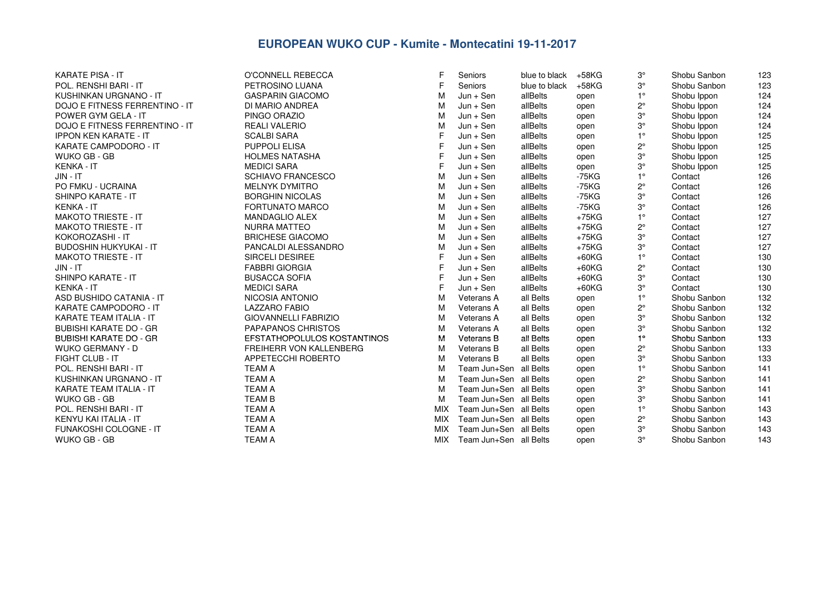| <b>KARATE PISA - IT</b>        | <b>O'CONNELL REBECCA</b>    | F          | Seniors                | blue to black | +58KG   | 3°          | Shobu Sanbon | 123 |
|--------------------------------|-----------------------------|------------|------------------------|---------------|---------|-------------|--------------|-----|
| POL. RENSHI BARI - IT          | PETROSINO LUANA             | F          | Seniors                | blue to black | +58KG   | 3°          | Shobu Sanbon | 123 |
| KUSHINKAN URGNANO - IT         | <b>GASPARIN GIACOMO</b>     | M          | $Jun + Sen$            | allBelts      | open    | $1^{\circ}$ | Shobu Ippon  | 124 |
| DOJO E FITNESS FERRENTINO - IT | DI MARIO ANDREA             | м          | $Jun + Sen$            | allBelts      | open    | $2^{\circ}$ | Shobu Ippon  | 124 |
| POWER GYM GELA - IT            | PINGO ORAZIO                | M          | $Jun + Sen$            | allBelts      | open    | $3^\circ$   | Shobu Ippon  | 124 |
| DOJO E FITNESS FERRENTINO - IT | <b>REALI VALERIO</b>        | M          | $Jun + Sen$            | allBelts      | open    | $3^{\circ}$ | Shobu Ippon  | 124 |
| <b>IPPON KEN KARATE - IT</b>   | <b>SCALBI SARA</b>          | F          | $Jun + Sen$            | allBelts      | open    | $1^{\circ}$ | Shobu Ippon  | 125 |
| KARATE CAMPODORO - IT          | <b>PUPPOLI ELISA</b>        |            | $Jun + Sen$            | allBelts      | open    | $2^{\circ}$ | Shobu Ippon  | 125 |
| WUKO GB - GB                   | <b>HOLMES NATASHA</b>       |            | $Jun + Sen$            | allBelts      | open    | $3^{\circ}$ | Shobu Ippon  | 125 |
| <b>KENKA - IT</b>              | <b>MEDICI SARA</b>          | F          | $Jun + Sen$            | allBelts      | open    | $3^\circ$   | Shobu Ippon  | 125 |
| JIN - IT                       | <b>SCHIAVO FRANCESCO</b>    | M          | $Jun + Sen$            | allBelts      | $-75KG$ | $1^{\circ}$ | Contact      | 126 |
| PO FMKU - UCRAINA              | <b>MELNYK DYMITRO</b>       | м          | $Jun + Sen$            | allBelts      | $-75KG$ | $2^{\circ}$ | Contact      | 126 |
| <b>SHINPO KARATE - IT</b>      | <b>BORGHIN NICOLAS</b>      | м          | $Jun + Sen$            | allBelts      | $-75KG$ | 3°          | Contact      | 126 |
| <b>KENKA - IT</b>              | <b>FORTUNATO MARCO</b>      | M          | $Jun + Sen$            | allBelts      | $-75KG$ | $3^\circ$   | Contact      | 126 |
| <b>MAKOTO TRIESTE - IT</b>     | <b>MANDAGLIO ALEX</b>       | M          | $Jun + Sen$            | allBelts      | $+75KG$ | $1^{\circ}$ | Contact      | 127 |
| <b>MAKOTO TRIESTE - IT</b>     | <b>NURRA MATTEO</b>         | M          | $Jun + Sen$            | allBelts      | $+75KG$ | $2^{\circ}$ | Contact      | 127 |
| KOKOROZASHI - IT               | <b>BRICHESE GIACOMO</b>     | M          | $Jun + Sen$            | allBelts      | $+75KG$ | $3^\circ$   | Contact      | 127 |
| <b>BUDOSHIN HUKYUKAI - IT</b>  | PANCALDI ALESSANDRO         | M          | $Jun + Sen$            | allBelts      | $+75KG$ | 3°          | Contact      | 127 |
| <b>MAKOTO TRIESTE - IT</b>     | <b>SIRCELI DESIREE</b>      | F          | $Jun + Sen$            | allBelts      | $+60KG$ | $1^{\circ}$ | Contact      | 130 |
| JIN - IT                       | <b>FABBRI GIORGIA</b>       |            | $Jun + Sen$            | allBelts      | $+60KG$ | $2^{\circ}$ | Contact      | 130 |
| SHINPO KARATE - IT             | <b>BUSACCA SOFIA</b>        | F          | $Jun + Sen$            | allBelts      | $+60KG$ | 3°          | Contact      | 130 |
| <b>KENKA - IT</b>              | <b>MEDICI SARA</b>          | F          | $Jun + Sen$            | allBelts      | $+60KG$ | 3°          | Contact      | 130 |
| ASD BUSHIDO CATANIA - IT       | NICOSIA ANTONIO             | M          | Veterans A             | all Belts     | open    | $1^{\circ}$ | Shobu Sanbon | 132 |
| <b>KARATE CAMPODORO - IT</b>   | <b>LAZZARO FABIO</b>        | M          | Veterans A             | all Belts     | open    | $2^{\circ}$ | Shobu Sanbon | 132 |
| KARATE TEAM ITALIA - IT        | <b>GIOVANNELLI FABRIZIO</b> | M          | Veterans A             | all Belts     | open    | 3°          | Shobu Sanbon | 132 |
| <b>BUBISHI KARATE DO - GR</b>  | <b>PAPAPANOS CHRISTOS</b>   | M          | Veterans A             | all Belts     | open    | 3°          | Shobu Sanbon | 132 |
| <b>BUBISHI KARATE DO - GR</b>  | EFSTATHOPOLULOS KOSTANTINOS | M          | <b>Veterans B</b>      | all Belts     | open    | $1^{\circ}$ | Shobu Sanbon | 133 |
| <b>WUKO GERMANY - D</b>        | FREIHERR VON KALLENBERG     | M          | Veterans B             | all Belts     | open    | $2^{\circ}$ | Shobu Sanbon | 133 |
| FIGHT CLUB - IT                | APPETECCHI ROBERTO          | M          | <b>Veterans B</b>      | all Belts     | open    | 3°          | Shobu Sanbon | 133 |
| POL. RENSHI BARI - IT          | <b>TEAM A</b>               | м          | Team Jun+Sen all Belts |               | open    | $1^{\circ}$ | Shobu Sanbon | 141 |
| KUSHINKAN URGNANO - IT         | <b>TEAM A</b>               | м          | Team Jun+Sen all Belts |               | open    | $2^{\circ}$ | Shobu Sanbon | 141 |
| KARATE TEAM ITALIA - IT        | <b>TEAM A</b>               | м          | Team Jun+Sen all Belts |               | open    | 3°          | Shobu Sanbon | 141 |
| WUKO GB - GB                   | <b>TEAM B</b>               | м          | Team Jun+Sen all Belts |               | open    | 3°          | Shobu Sanbon | 141 |
| POL. RENSHI BARI - IT          | <b>TEAM A</b>               | <b>MIX</b> | Team Jun+Sen all Belts |               | open    | $1^{\circ}$ | Shobu Sanbon | 143 |
| KENYU KAI ITALIA - IT          | <b>TEAM A</b>               | <b>MIX</b> | Team Jun+Sen all Belts |               | open    | $2^{\circ}$ | Shobu Sanbon | 143 |
| <b>FUNAKOSHI COLOGNE - IT</b>  | <b>TEAM A</b>               | <b>MIX</b> | Team Jun+Sen all Belts |               | open    | 3°          | Shobu Sanbon | 143 |
| WUKO GB - GB                   | <b>TEAM A</b>               | <b>MIX</b> | Team Jun+Sen all Belts |               | open    | $3^\circ$   | Shobu Sanbon | 143 |
|                                |                             |            |                        |               |         |             |              |     |